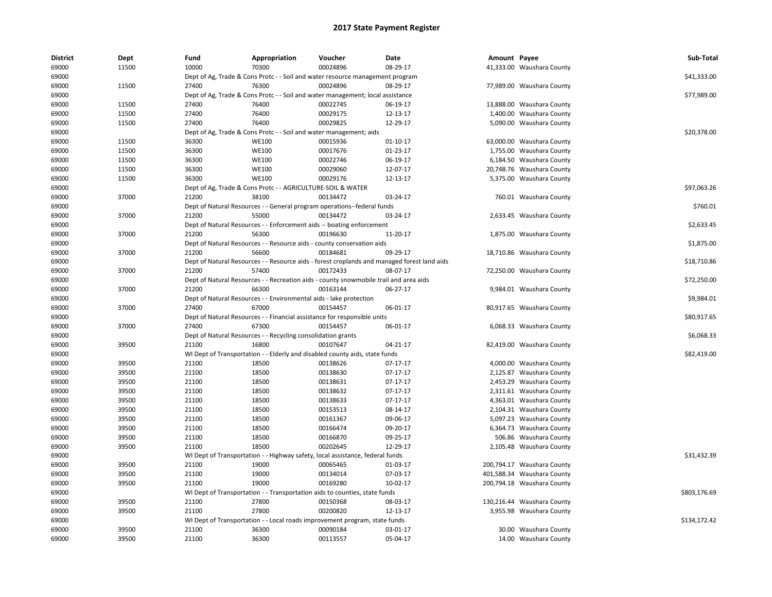| <b>District</b> | Dept  | Fund  | Appropriation                                                      | Voucher                                                                               | Date                                                                                        | Amount Payee |                            | Sub-Total    |
|-----------------|-------|-------|--------------------------------------------------------------------|---------------------------------------------------------------------------------------|---------------------------------------------------------------------------------------------|--------------|----------------------------|--------------|
| 69000           | 11500 | 10000 | 70300                                                              | 00024896                                                                              | 08-29-17                                                                                    |              | 41,333.00 Waushara County  |              |
| 69000           |       |       |                                                                    | Dept of Ag, Trade & Cons Protc - - Soil and water resource management program         |                                                                                             |              |                            | \$41,333.00  |
| 69000           | 11500 | 27400 | 76300                                                              | 00024896                                                                              | 08-29-17                                                                                    |              | 77,989.00 Waushara County  |              |
| 69000           |       |       |                                                                    | Dept of Ag, Trade & Cons Protc - - Soil and water management; local assistance        |                                                                                             |              |                            | \$77,989.00  |
| 69000           | 11500 | 27400 | 76400                                                              | 00022745                                                                              | 06-19-17                                                                                    |              | 13,888.00 Waushara County  |              |
| 69000           | 11500 | 27400 | 76400                                                              | 00029175                                                                              | 12-13-17                                                                                    |              | 1,400.00 Waushara County   |              |
| 69000           | 11500 | 27400 | 76400                                                              | 00029825                                                                              | 12-29-17                                                                                    |              | 5,090.00 Waushara County   |              |
| 69000           |       |       | Dept of Ag, Trade & Cons Protc - - Soil and water management; aids |                                                                                       |                                                                                             |              |                            | \$20,378.00  |
| 69000           | 11500 | 36300 | <b>WE100</b>                                                       | 00015936                                                                              | $01-10-17$                                                                                  |              | 63,000.00 Waushara County  |              |
| 69000           | 11500 | 36300 | <b>WE100</b>                                                       | 00017676                                                                              | 01-23-17                                                                                    |              | 1,755.00 Waushara County   |              |
| 69000           | 11500 | 36300 | <b>WE100</b>                                                       | 00022746                                                                              | 06-19-17                                                                                    |              | 6,184.50 Waushara County   |              |
| 69000           | 11500 | 36300 | <b>WE100</b>                                                       | 00029060                                                                              | 12-07-17                                                                                    |              | 20,748.76 Waushara County  |              |
| 69000           | 11500 | 36300 | <b>WE100</b>                                                       | 00029176                                                                              | 12-13-17                                                                                    |              | 5,375.00 Waushara County   |              |
| 69000           |       |       | Dept of Ag, Trade & Cons Protc - - AGRICULTURE-SOIL & WATER        |                                                                                       |                                                                                             |              |                            | \$97,063.26  |
| 69000           | 37000 | 21200 | 38100                                                              | 00134472                                                                              | 03-24-17                                                                                    |              | 760.01 Waushara County     |              |
| 69000           |       |       |                                                                    | Dept of Natural Resources - - General program operations--federal funds               |                                                                                             |              |                            | \$760.01     |
| 69000           | 37000 | 21200 | 55000                                                              | 00134472                                                                              | 03-24-17                                                                                    |              | 2,633.45 Waushara County   |              |
| 69000           |       |       |                                                                    | Dept of Natural Resources - - Enforcement aids -- boating enforcement                 |                                                                                             |              |                            | \$2,633.45   |
| 69000           | 37000 | 21200 | 56300                                                              | 00196630                                                                              | 11-20-17                                                                                    |              | 1,875.00 Waushara County   |              |
| 69000           |       |       |                                                                    | Dept of Natural Resources - - Resource aids - county conservation aids                |                                                                                             |              |                            | \$1,875.00   |
| 69000           | 37000 | 21200 | 56600                                                              | 00184681                                                                              | 09-29-17                                                                                    |              | 18,710.86 Waushara County  |              |
| 69000           |       |       |                                                                    |                                                                                       | Dept of Natural Resources - - Resource aids - forest croplands and managed forest land aids |              |                            | \$18,710.86  |
| 69000           | 37000 | 21200 | 57400                                                              | 00172433                                                                              | 08-07-17                                                                                    |              | 72,250.00 Waushara County  |              |
| 69000           |       |       |                                                                    | Dept of Natural Resources - - Recreation aids - county snowmobile trail and area aids |                                                                                             |              |                            | \$72,250.00  |
| 69000           | 37000 | 21200 | 66300                                                              | 00163144                                                                              | 06-27-17                                                                                    |              | 9,984.01 Waushara County   |              |
| 69000           |       |       | Dept of Natural Resources - - Environmental aids - lake protection |                                                                                       |                                                                                             |              |                            | \$9,984.01   |
| 69000           | 37000 | 27400 | 67000                                                              | 00154457                                                                              | 06-01-17                                                                                    |              | 80,917.65 Waushara County  |              |
| 69000           |       |       |                                                                    | Dept of Natural Resources - - Financial assistance for responsible units              |                                                                                             |              |                            | \$80,917.65  |
| 69000           | 37000 | 27400 | 67300                                                              | 00154457                                                                              | 06-01-17                                                                                    |              | 6,068.33 Waushara County   |              |
| 69000           |       |       | Dept of Natural Resources - - Recycling consolidation grants       |                                                                                       |                                                                                             |              |                            | \$6,068.33   |
| 69000           | 39500 | 21100 | 16800                                                              | 00107647                                                                              | 04-21-17                                                                                    |              | 82,419.00 Waushara County  |              |
| 69000           |       |       |                                                                    | WI Dept of Transportation - - Elderly and disabled county aids, state funds           |                                                                                             |              |                            | \$82,419.00  |
| 69000           | 39500 | 21100 | 18500                                                              | 00138626                                                                              | 07-17-17                                                                                    |              | 4,000.00 Waushara County   |              |
| 69000           | 39500 | 21100 | 18500                                                              | 00138630                                                                              | 07-17-17                                                                                    |              | 2,125.87 Waushara County   |              |
| 69000           | 39500 | 21100 | 18500                                                              | 00138631                                                                              | $07-17-17$                                                                                  |              | 2,453.29 Waushara County   |              |
| 69000           | 39500 | 21100 | 18500                                                              | 00138632                                                                              | 07-17-17                                                                                    |              | 2,311.61 Waushara County   |              |
| 69000           | 39500 | 21100 | 18500                                                              | 00138633                                                                              | 07-17-17                                                                                    |              | 4,363.01 Waushara County   |              |
| 69000           | 39500 | 21100 | 18500                                                              | 00153513                                                                              | 08-14-17                                                                                    |              | 2,104.31 Waushara County   |              |
| 69000           | 39500 | 21100 | 18500                                                              | 00161367                                                                              | 09-06-17                                                                                    |              | 5,097.23 Waushara County   |              |
| 69000           | 39500 | 21100 | 18500                                                              | 00166474                                                                              | 09-20-17                                                                                    |              | 6,364.73 Waushara County   |              |
| 69000           | 39500 | 21100 | 18500                                                              | 00166870                                                                              | 09-25-17                                                                                    |              | 506.86 Waushara County     |              |
|                 | 39500 | 21100 | 18500                                                              | 00202645                                                                              | 12-29-17                                                                                    |              |                            |              |
| 69000<br>69000  |       |       |                                                                    | WI Dept of Transportation - - Highway safety, local assistance, federal funds         |                                                                                             |              | 2,105.48 Waushara County   | \$31,432.39  |
|                 | 39500 | 21100 | 19000                                                              | 00065465                                                                              | 01-03-17                                                                                    |              |                            |              |
| 69000           |       |       |                                                                    |                                                                                       |                                                                                             |              | 200,794.17 Waushara County |              |
| 69000           | 39500 | 21100 | 19000                                                              | 00134014                                                                              | 07-03-17                                                                                    |              | 401,588.34 Waushara County |              |
| 69000           | 39500 | 21100 | 19000                                                              | 00169280                                                                              | 10-02-17                                                                                    |              | 200,794.18 Waushara County |              |
| 69000           |       |       |                                                                    | WI Dept of Transportation - - Transportation aids to counties, state funds            |                                                                                             |              |                            | \$803,176.69 |
| 69000           | 39500 | 21100 | 27800                                                              | 00150368                                                                              | 08-03-17                                                                                    |              | 130,216.44 Waushara County |              |
| 69000           | 39500 | 21100 | 27800                                                              | 00200820                                                                              | 12-13-17                                                                                    |              | 3,955.98 Waushara County   |              |
| 69000           |       |       |                                                                    | WI Dept of Transportation - - Local roads improvement program, state funds            |                                                                                             |              |                            | \$134,172.42 |
| 69000           | 39500 | 21100 | 36300                                                              | 00090184                                                                              | 03-01-17                                                                                    |              | 30.00 Waushara County      |              |
| 69000           | 39500 | 21100 | 36300                                                              | 00113557                                                                              | 05-04-17                                                                                    |              | 14.00 Waushara County      |              |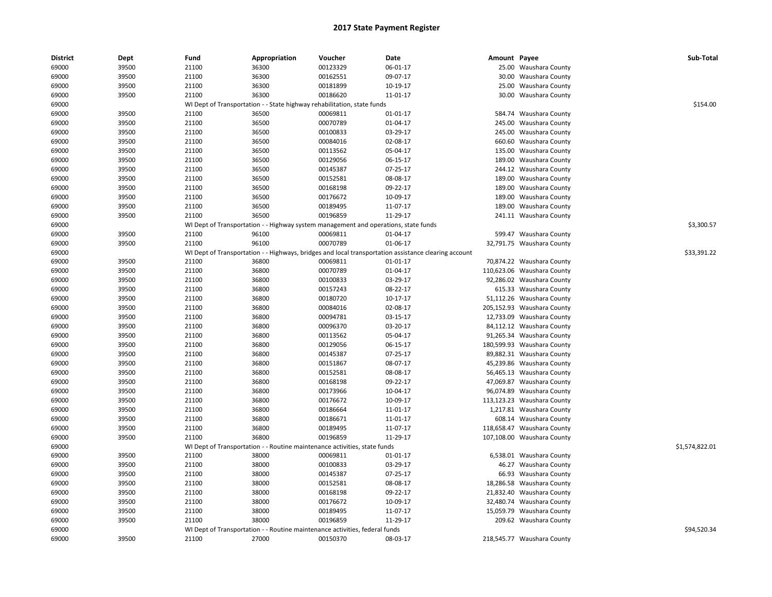| <b>District</b> | Dept           | Fund           | Appropriation  | Voucher                                                                             | Date                                                                                                 | Amount Payee |                            | Sub-Total      |
|-----------------|----------------|----------------|----------------|-------------------------------------------------------------------------------------|------------------------------------------------------------------------------------------------------|--------------|----------------------------|----------------|
| 69000           | 39500          | 21100          | 36300          | 00123329                                                                            | 06-01-17                                                                                             |              | 25.00 Waushara County      |                |
| 69000           | 39500          | 21100          | 36300          | 00162551                                                                            | 09-07-17                                                                                             |              | 30.00 Waushara County      |                |
| 69000           | 39500          | 21100          | 36300          | 00181899                                                                            | 10-19-17                                                                                             |              | 25.00 Waushara County      |                |
| 69000           | 39500          | 21100          | 36300          | 00186620                                                                            | 11-01-17                                                                                             |              | 30.00 Waushara County      |                |
| 69000           |                |                |                | WI Dept of Transportation - - State highway rehabilitation, state funds             |                                                                                                      |              |                            | \$154.00       |
| 69000           | 39500          | 21100          | 36500          | 00069811                                                                            | 01-01-17                                                                                             |              | 584.74 Waushara County     |                |
| 69000           | 39500          | 21100          | 36500          | 00070789                                                                            | 01-04-17                                                                                             |              | 245.00 Waushara County     |                |
| 69000           | 39500          | 21100          | 36500          | 00100833                                                                            | 03-29-17                                                                                             |              | 245.00 Waushara County     |                |
| 69000           | 39500          | 21100          | 36500          | 00084016                                                                            | 02-08-17                                                                                             |              | 660.60 Waushara County     |                |
| 69000           | 39500          | 21100          | 36500          | 00113562                                                                            | 05-04-17                                                                                             |              | 135.00 Waushara County     |                |
| 69000           | 39500          | 21100          | 36500          | 00129056                                                                            | 06-15-17                                                                                             |              | 189.00 Waushara County     |                |
| 69000           | 39500          | 21100          | 36500          | 00145387                                                                            | 07-25-17                                                                                             |              | 244.12 Waushara County     |                |
| 69000           | 39500          | 21100          | 36500          | 00152581                                                                            | 08-08-17                                                                                             |              | 189.00 Waushara County     |                |
| 69000           | 39500          | 21100          | 36500          | 00168198                                                                            | 09-22-17                                                                                             |              | 189.00 Waushara County     |                |
| 69000           | 39500          | 21100          | 36500          | 00176672                                                                            | 10-09-17                                                                                             |              | 189.00 Waushara County     |                |
| 69000           | 39500          | 21100          | 36500          | 00189495                                                                            | 11-07-17                                                                                             |              | 189.00 Waushara County     |                |
| 69000           | 39500          | 21100          | 36500          | 00196859                                                                            | 11-29-17                                                                                             |              | 241.11 Waushara County     |                |
| 69000           |                |                |                | WI Dept of Transportation - - Highway system management and operations, state funds |                                                                                                      |              |                            | \$3,300.57     |
| 69000           | 39500          | 21100          | 96100          | 00069811                                                                            | 01-04-17                                                                                             |              | 599.47 Waushara County     |                |
| 69000           | 39500          | 21100          | 96100          | 00070789                                                                            | 01-06-17                                                                                             |              | 32,791.75 Waushara County  |                |
| 69000           |                |                |                |                                                                                     | WI Dept of Transportation - - Highways, bridges and local transportation assistance clearing account |              |                            | \$33,391.22    |
| 69000           | 39500          | 21100          | 36800          | 00069811                                                                            | $01-01-17$                                                                                           |              | 70,874.22 Waushara County  |                |
| 69000           | 39500          | 21100          | 36800          | 00070789                                                                            | 01-04-17                                                                                             |              | 110,623.06 Waushara County |                |
| 69000           | 39500          | 21100          | 36800          | 00100833                                                                            | 03-29-17                                                                                             |              | 92,286.02 Waushara County  |                |
| 69000           | 39500          | 21100          | 36800          | 00157243                                                                            | 08-22-17                                                                                             |              | 615.33 Waushara County     |                |
| 69000           | 39500          | 21100          | 36800          | 00180720                                                                            | 10-17-17                                                                                             |              | 51,112.26 Waushara County  |                |
| 69000           | 39500          | 21100          | 36800          | 00084016                                                                            | 02-08-17                                                                                             |              | 205,152.93 Waushara County |                |
| 69000           | 39500          | 21100          | 36800          | 00094781                                                                            | 03-15-17                                                                                             |              | 12,733.09 Waushara County  |                |
| 69000           | 39500          | 21100          | 36800          | 00096370                                                                            | 03-20-17                                                                                             |              | 84,112.12 Waushara County  |                |
| 69000           | 39500          | 21100          | 36800          | 00113562                                                                            | 05-04-17                                                                                             |              | 91,265.34 Waushara County  |                |
| 69000           | 39500          | 21100          | 36800          | 00129056                                                                            | 06-15-17                                                                                             |              | 180,599.93 Waushara County |                |
| 69000           | 39500          | 21100          | 36800          | 00145387                                                                            | 07-25-17                                                                                             |              | 89,882.31 Waushara County  |                |
| 69000           | 39500          | 21100          | 36800          | 00151867                                                                            | 08-07-17                                                                                             |              | 45,239.86 Waushara County  |                |
| 69000           | 39500          | 21100          | 36800          | 00152581                                                                            | 08-08-17                                                                                             |              | 56,465.13 Waushara County  |                |
| 69000           | 39500          | 21100          | 36800          | 00168198                                                                            | 09-22-17                                                                                             |              | 47,069.87 Waushara County  |                |
| 69000           | 39500          | 21100          | 36800          | 00173966                                                                            | 10-04-17                                                                                             |              | 96,074.89 Waushara County  |                |
| 69000           | 39500          | 21100          | 36800          | 00176672                                                                            | 10-09-17                                                                                             |              | 113,123.23 Waushara County |                |
| 69000           | 39500          |                |                | 00186664                                                                            | 11-01-17                                                                                             |              | 1,217.81 Waushara County   |                |
| 69000           | 39500          | 21100<br>21100 | 36800<br>36800 | 00186671                                                                            | 11-01-17                                                                                             |              | 608.14 Waushara County     |                |
| 69000           | 39500          | 21100          | 36800          | 00189495                                                                            | 11-07-17                                                                                             |              | 118,658.47 Waushara County |                |
|                 |                |                |                |                                                                                     |                                                                                                      |              |                            |                |
| 69000           | 39500          | 21100          | 36800          | 00196859                                                                            | 11-29-17                                                                                             |              | 107,108.00 Waushara County | \$1,574,822.01 |
| 69000           |                |                |                | WI Dept of Transportation - - Routine maintenance activities, state funds           |                                                                                                      |              |                            |                |
| 69000<br>69000  | 39500<br>39500 | 21100<br>21100 | 38000<br>38000 | 00069811<br>00100833                                                                | 01-01-17<br>03-29-17                                                                                 |              | 6,538.01 Waushara County   |                |
|                 |                |                |                |                                                                                     |                                                                                                      |              | 46.27 Waushara County      |                |
| 69000           | 39500          | 21100          | 38000          | 00145387                                                                            | 07-25-17                                                                                             |              | 66.93 Waushara County      |                |
| 69000           | 39500          | 21100          | 38000          | 00152581                                                                            | 08-08-17                                                                                             |              | 18,286.58 Waushara County  |                |
| 69000           | 39500          | 21100          | 38000          | 00168198                                                                            | 09-22-17                                                                                             |              | 21,832.40 Waushara County  |                |
| 69000           | 39500          | 21100          | 38000          | 00176672                                                                            | 10-09-17                                                                                             |              | 32,480.74 Waushara County  |                |
| 69000           | 39500          | 21100          | 38000          | 00189495                                                                            | 11-07-17                                                                                             |              | 15,059.79 Waushara County  |                |
| 69000           | 39500          | 21100          | 38000          | 00196859                                                                            | 11-29-17                                                                                             |              | 209.62 Waushara County     |                |
| 69000           |                |                |                | WI Dept of Transportation - - Routine maintenance activities, federal funds         |                                                                                                      |              |                            | \$94,520.34    |
| 69000           | 39500          | 21100          | 27000          | 00150370                                                                            | 08-03-17                                                                                             |              | 218,545.77 Waushara County |                |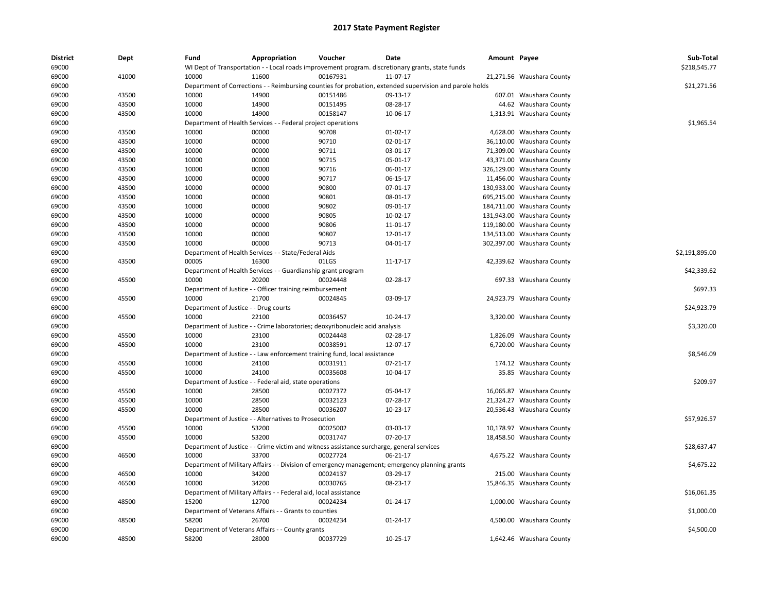| <b>District</b><br>69000 | Dept  | Fund                                  | Appropriation                                                    | Voucher                                                                                   | Date<br>WI Dept of Transportation - - Local roads improvement program. discretionary grants, state funds | Amount Payee |                            | Sub-Total<br>\$218,545.77 |
|--------------------------|-------|---------------------------------------|------------------------------------------------------------------|-------------------------------------------------------------------------------------------|----------------------------------------------------------------------------------------------------------|--------------|----------------------------|---------------------------|
| 69000                    | 41000 | 10000                                 | 11600                                                            | 00167931                                                                                  | 11-07-17                                                                                                 |              | 21,271.56 Waushara County  |                           |
| 69000                    |       |                                       |                                                                  |                                                                                           | Department of Corrections - - Reimbursing counties for probation, extended supervision and parole holds  |              |                            | \$21,271.56               |
| 69000                    | 43500 | 10000                                 | 14900                                                            | 00151486                                                                                  | 09-13-17                                                                                                 |              | 607.01 Waushara County     |                           |
| 69000                    | 43500 | 10000                                 | 14900                                                            | 00151495                                                                                  | 08-28-17                                                                                                 |              | 44.62 Waushara County      |                           |
| 69000                    | 43500 | 10000                                 | 14900                                                            | 00158147                                                                                  | 10-06-17                                                                                                 |              | 1,313.91 Waushara County   |                           |
|                          |       |                                       |                                                                  |                                                                                           |                                                                                                          |              |                            | \$1,965.54                |
| 69000                    |       |                                       | Department of Health Services - - Federal project operations     |                                                                                           |                                                                                                          |              |                            |                           |
| 69000                    | 43500 | 10000                                 | 00000                                                            | 90708                                                                                     | 01-02-17                                                                                                 |              | 4,628.00 Waushara County   |                           |
| 69000                    | 43500 | 10000                                 | 00000                                                            | 90710                                                                                     | 02-01-17                                                                                                 |              | 36,110.00 Waushara County  |                           |
| 69000                    | 43500 | 10000                                 | 00000                                                            | 90711                                                                                     | 03-01-17                                                                                                 |              | 71,309.00 Waushara County  |                           |
| 69000                    | 43500 | 10000                                 | 00000                                                            | 90715                                                                                     | 05-01-17                                                                                                 |              | 43,371.00 Waushara County  |                           |
| 69000                    | 43500 | 10000                                 | 00000                                                            | 90716                                                                                     | 06-01-17                                                                                                 |              | 326,129.00 Waushara County |                           |
| 69000                    | 43500 | 10000                                 | 00000                                                            | 90717                                                                                     | 06-15-17                                                                                                 |              | 11,456.00 Waushara County  |                           |
| 69000                    | 43500 | 10000                                 | 00000                                                            | 90800                                                                                     | 07-01-17                                                                                                 |              | 130,933.00 Waushara County |                           |
| 69000                    | 43500 | 10000                                 | 00000                                                            | 90801                                                                                     | 08-01-17                                                                                                 |              | 695,215.00 Waushara County |                           |
| 69000                    | 43500 | 10000                                 | 00000                                                            | 90802                                                                                     | 09-01-17                                                                                                 |              | 184,711.00 Waushara County |                           |
| 69000                    | 43500 | 10000                                 | 00000                                                            | 90805                                                                                     | 10-02-17                                                                                                 |              | 131,943.00 Waushara County |                           |
| 69000                    | 43500 | 10000                                 | 00000                                                            | 90806                                                                                     | 11-01-17                                                                                                 |              | 119,180.00 Waushara County |                           |
| 69000                    | 43500 | 10000                                 | 00000                                                            | 90807                                                                                     | 12-01-17                                                                                                 |              | 134,513.00 Waushara County |                           |
| 69000                    | 43500 | 10000                                 | 00000                                                            | 90713                                                                                     | 04-01-17                                                                                                 |              | 302,397.00 Waushara County |                           |
| 69000                    |       |                                       | Department of Health Services - - State/Federal Aids             |                                                                                           |                                                                                                          |              |                            | \$2,191,895.00            |
| 69000                    | 43500 | 00005                                 | 16300                                                            | 01LGS                                                                                     | 11-17-17                                                                                                 |              | 42,339.62 Waushara County  |                           |
| 69000                    |       |                                       | Department of Health Services - - Guardianship grant program     |                                                                                           |                                                                                                          |              |                            | \$42,339.62               |
| 69000                    | 45500 | 10000                                 | 20200                                                            | 00024448                                                                                  | 02-28-17                                                                                                 |              | 697.33 Waushara County     |                           |
| 69000                    |       |                                       | Department of Justice - - Officer training reimbursement         |                                                                                           |                                                                                                          |              |                            | \$697.33                  |
| 69000                    | 45500 | 10000                                 | 21700                                                            | 00024845                                                                                  | 03-09-17                                                                                                 |              | 24,923.79 Waushara County  |                           |
| 69000                    |       | Department of Justice - - Drug courts |                                                                  |                                                                                           |                                                                                                          |              |                            | \$24,923.79               |
| 69000                    | 45500 | 10000                                 | 22100                                                            | 00036457                                                                                  | 10-24-17                                                                                                 |              | 3,320.00 Waushara County   |                           |
| 69000                    |       |                                       |                                                                  | Department of Justice - - Crime laboratories; deoxyribonucleic acid analysis              |                                                                                                          |              |                            | \$3,320.00                |
| 69000                    | 45500 | 10000                                 | 23100                                                            | 00024448                                                                                  | 02-28-17                                                                                                 |              | 1,826.09 Waushara County   |                           |
| 69000                    | 45500 | 10000                                 | 23100                                                            | 00038591                                                                                  | 12-07-17                                                                                                 |              | 6,720.00 Waushara County   |                           |
| 69000                    |       |                                       |                                                                  | Department of Justice - - Law enforcement training fund, local assistance                 |                                                                                                          |              |                            | \$8,546.09                |
| 69000                    | 45500 | 10000                                 | 24100                                                            | 00031911                                                                                  | 07-21-17                                                                                                 |              | 174.12 Waushara County     |                           |
| 69000                    | 45500 | 10000                                 | 24100                                                            | 00035608                                                                                  | 10-04-17                                                                                                 |              | 35.85 Waushara County      |                           |
|                          |       |                                       |                                                                  |                                                                                           |                                                                                                          |              |                            | \$209.97                  |
| 69000                    |       |                                       | Department of Justice - - Federal aid, state operations          |                                                                                           |                                                                                                          |              |                            |                           |
| 69000                    | 45500 | 10000                                 | 28500                                                            | 00027372                                                                                  | 05-04-17                                                                                                 |              | 16,065.87 Waushara County  |                           |
| 69000                    | 45500 | 10000                                 | 28500                                                            | 00032123                                                                                  | 07-28-17                                                                                                 |              | 21,324.27 Waushara County  |                           |
| 69000                    | 45500 | 10000                                 | 28500                                                            | 00036207                                                                                  | 10-23-17                                                                                                 |              | 20,536.43 Waushara County  |                           |
| 69000                    |       |                                       | Department of Justice - - Alternatives to Prosecution            |                                                                                           |                                                                                                          |              |                            | \$57,926.57               |
| 69000                    | 45500 | 10000                                 | 53200                                                            | 00025002                                                                                  | 03-03-17                                                                                                 |              | 10,178.97 Waushara County  |                           |
| 69000                    | 45500 | 10000                                 | 53200                                                            | 00031747                                                                                  | 07-20-17                                                                                                 |              | 18,458.50 Waushara County  |                           |
| 69000                    |       |                                       |                                                                  | Department of Justice - - Crime victim and witness assistance surcharge, general services |                                                                                                          |              |                            | \$28,637.47               |
| 69000                    | 46500 | 10000                                 | 33700                                                            | 00027724                                                                                  | 06-21-17                                                                                                 |              | 4,675.22 Waushara County   |                           |
| 69000                    |       |                                       |                                                                  |                                                                                           | Department of Military Affairs - - Division of emergency management; emergency planning grants           |              |                            | \$4,675.22                |
| 69000                    | 46500 | 10000                                 | 34200                                                            | 00024137                                                                                  | 03-29-17                                                                                                 |              | 215.00 Waushara County     |                           |
| 69000                    | 46500 | 10000                                 | 34200                                                            | 00030765                                                                                  | 08-23-17                                                                                                 |              | 15,846.35 Waushara County  |                           |
| 69000                    |       |                                       | Department of Military Affairs - - Federal aid, local assistance |                                                                                           |                                                                                                          |              |                            | \$16,061.35               |
| 69000                    | 48500 | 15200                                 | 12700                                                            | 00024234                                                                                  | 01-24-17                                                                                                 |              | 1,000.00 Waushara County   |                           |
| 69000                    |       |                                       | Department of Veterans Affairs - - Grants to counties            |                                                                                           |                                                                                                          |              |                            | \$1,000.00                |
| 69000                    | 48500 | 58200                                 | 26700                                                            | 00024234                                                                                  | 01-24-17                                                                                                 |              | 4,500.00 Waushara County   |                           |
| 69000                    |       |                                       | Department of Veterans Affairs - - County grants                 |                                                                                           |                                                                                                          |              |                            | \$4,500.00                |
| 69000                    | 48500 | 58200                                 | 28000                                                            | 00037729                                                                                  | 10-25-17                                                                                                 |              | 1,642.46 Waushara County   |                           |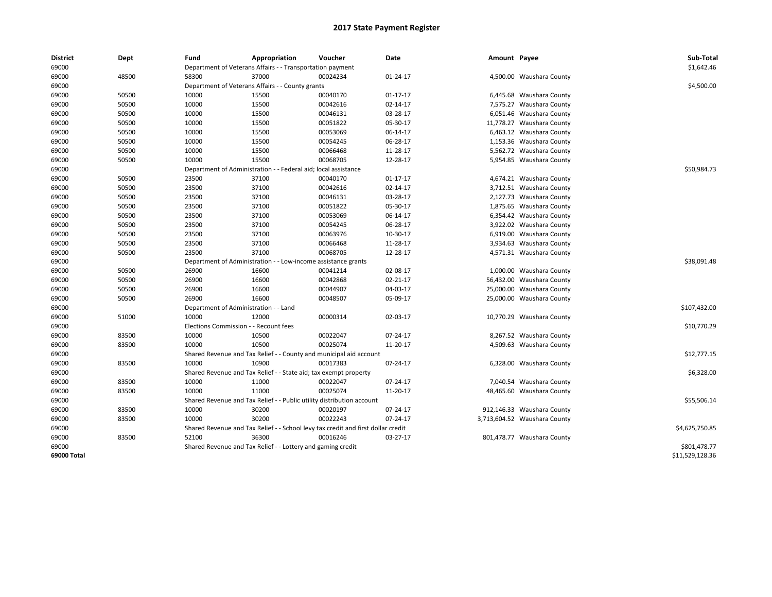| <b>District</b> | Dept  | Fund                                                          | Appropriation                                                                    | Voucher     | Date     | Amount Payee |                              | Sub-Total       |
|-----------------|-------|---------------------------------------------------------------|----------------------------------------------------------------------------------|-------------|----------|--------------|------------------------------|-----------------|
| 69000           |       |                                                               | Department of Veterans Affairs - - Transportation payment                        |             |          |              |                              | \$1,642.46      |
| 69000           | 48500 | 58300                                                         | 37000                                                                            | 00024234    | 01-24-17 |              | 4,500.00 Waushara County     |                 |
| 69000           |       |                                                               | Department of Veterans Affairs - - County grants                                 |             |          |              |                              | \$4,500.00      |
| 69000           | 50500 | 10000                                                         | 15500                                                                            | 00040170    | 01-17-17 |              | 6,445.68 Waushara County     |                 |
| 69000           | 50500 | 10000                                                         | 15500                                                                            | 00042616    | 02-14-17 |              | 7,575.27 Waushara County     |                 |
| 69000           | 50500 | 10000                                                         | 15500                                                                            | 00046131    | 03-28-17 |              | 6,051.46 Waushara County     |                 |
| 69000           | 50500 | 10000                                                         | 15500                                                                            | 00051822    | 05-30-17 |              | 11,778.27 Waushara County    |                 |
| 69000           | 50500 | 10000                                                         | 15500                                                                            | 00053069    | 06-14-17 |              | 6,463.12 Waushara County     |                 |
| 69000           | 50500 | 10000                                                         | 15500                                                                            | 00054245    | 06-28-17 |              | 1,153.36 Waushara County     |                 |
| 69000           | 50500 | 10000                                                         | 15500                                                                            | 00066468    | 11-28-17 |              | 5,562.72 Waushara County     |                 |
| 69000           | 50500 | 10000                                                         | 15500                                                                            | 00068705    | 12-28-17 |              | 5,954.85 Waushara County     |                 |
| 69000           |       |                                                               | Department of Administration - - Federal aid; local assistance                   |             |          |              |                              | \$50,984.73     |
| 69000           | 50500 | 23500                                                         | 37100                                                                            | 00040170    | 01-17-17 |              | 4,674.21 Waushara County     |                 |
| 69000           | 50500 | 23500                                                         | 37100                                                                            | 00042616    | 02-14-17 |              | 3,712.51 Waushara County     |                 |
| 69000           | 50500 | 23500                                                         | 37100                                                                            | 00046131    | 03-28-17 |              | 2,127.73 Waushara County     |                 |
| 69000           | 50500 | 23500                                                         | 37100                                                                            | 00051822    | 05-30-17 |              | 1,875.65 Waushara County     |                 |
| 69000           | 50500 | 23500                                                         | 37100                                                                            | 00053069    | 06-14-17 |              | 6,354.42 Waushara County     |                 |
| 69000           | 50500 | 23500                                                         | 37100                                                                            | 00054245    | 06-28-17 |              | 3,922.02 Waushara County     |                 |
| 69000           | 50500 | 23500                                                         | 37100                                                                            | 00063976    | 10-30-17 |              | 6,919.00 Waushara County     |                 |
| 69000           | 50500 | 23500                                                         | 37100                                                                            | 00066468    | 11-28-17 |              | 3,934.63 Waushara County     |                 |
| 69000           | 50500 | 23500                                                         | 37100                                                                            | 00068705    | 12-28-17 |              | 4,571.31 Waushara County     |                 |
| 69000           |       | Department of Administration - - Low-income assistance grants |                                                                                  | \$38,091.48 |          |              |                              |                 |
| 69000           | 50500 | 26900                                                         | 16600                                                                            | 00041214    | 02-08-17 |              | 1,000.00 Waushara County     |                 |
| 69000           | 50500 | 26900                                                         | 16600                                                                            | 00042868    | 02-21-17 |              | 56,432.00 Waushara County    |                 |
| 69000           | 50500 | 26900                                                         | 16600                                                                            | 00044907    | 04-03-17 |              | 25,000.00 Waushara County    |                 |
| 69000           | 50500 | 26900                                                         | 16600                                                                            | 00048507    | 05-09-17 |              | 25,000.00 Waushara County    |                 |
| 69000           |       | Department of Administration - - Land                         |                                                                                  |             |          |              |                              | \$107,432.00    |
| 69000           | 51000 | 10000                                                         | 12000                                                                            | 00000314    | 02-03-17 |              | 10,770.29 Waushara County    |                 |
| 69000           |       | Elections Commission - - Recount fees                         |                                                                                  |             |          |              |                              | \$10,770.29     |
| 69000           | 83500 | 10000                                                         | 10500                                                                            | 00022047    | 07-24-17 |              | 8,267.52 Waushara County     |                 |
| 69000           | 83500 | 10000                                                         | 10500                                                                            | 00025074    | 11-20-17 |              | 4,509.63 Waushara County     |                 |
| 69000           |       |                                                               | Shared Revenue and Tax Relief - - County and municipal aid account               |             |          |              |                              | \$12,777.15     |
| 69000           | 83500 | 10000                                                         | 10900                                                                            | 00017383    | 07-24-17 |              | 6,328.00 Waushara County     |                 |
| 69000           |       |                                                               | Shared Revenue and Tax Relief - - State aid; tax exempt property                 |             |          |              |                              | \$6,328.00      |
| 69000           | 83500 | 10000                                                         | 11000                                                                            | 00022047    | 07-24-17 |              | 7,040.54 Waushara County     |                 |
| 69000           | 83500 | 10000                                                         | 11000                                                                            | 00025074    | 11-20-17 |              | 48,465.60 Waushara County    |                 |
| 69000           |       |                                                               | Shared Revenue and Tax Relief - - Public utility distribution account            |             |          |              |                              | \$55,506.14     |
| 69000           | 83500 | 10000                                                         | 30200                                                                            | 00020197    | 07-24-17 |              | 912,146.33 Waushara County   |                 |
| 69000           | 83500 | 10000                                                         | 30200                                                                            | 00022243    | 07-24-17 |              | 3,713,604.52 Waushara County |                 |
| 69000           |       |                                                               | Shared Revenue and Tax Relief - - School levy tax credit and first dollar credit |             |          |              |                              | \$4,625,750.85  |
| 69000           | 83500 | 52100                                                         | 36300                                                                            | 00016246    | 03-27-17 |              | 801,478.77 Waushara County   |                 |
| 69000           |       |                                                               | Shared Revenue and Tax Relief - - Lottery and gaming credit                      |             |          |              |                              | \$801,478.77    |
| 69000 Total     |       |                                                               |                                                                                  |             |          |              |                              | \$11,529,128.36 |
|                 |       |                                                               |                                                                                  |             |          |              |                              |                 |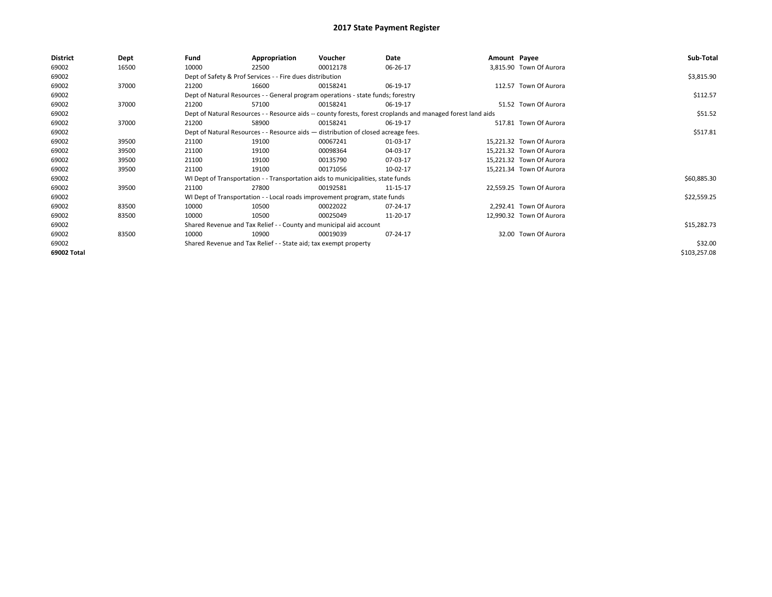| Dept  | Fund  | Appropriation | Voucher  | Date                                                                                                                          |                                                                                                                                                                                                                                                                                                                                                                                                                |                                                                                                              | Sub-Total                                                                                                                                                                                                                                                                                                                                    |
|-------|-------|---------------|----------|-------------------------------------------------------------------------------------------------------------------------------|----------------------------------------------------------------------------------------------------------------------------------------------------------------------------------------------------------------------------------------------------------------------------------------------------------------------------------------------------------------------------------------------------------------|--------------------------------------------------------------------------------------------------------------|----------------------------------------------------------------------------------------------------------------------------------------------------------------------------------------------------------------------------------------------------------------------------------------------------------------------------------------------|
| 16500 | 10000 | 22500         | 00012178 | 06-26-17                                                                                                                      |                                                                                                                                                                                                                                                                                                                                                                                                                |                                                                                                              |                                                                                                                                                                                                                                                                                                                                              |
|       |       |               |          |                                                                                                                               |                                                                                                                                                                                                                                                                                                                                                                                                                |                                                                                                              | \$3,815.90                                                                                                                                                                                                                                                                                                                                   |
| 37000 | 21200 | 16600         | 00158241 | 06-19-17                                                                                                                      |                                                                                                                                                                                                                                                                                                                                                                                                                |                                                                                                              |                                                                                                                                                                                                                                                                                                                                              |
|       |       |               |          |                                                                                                                               |                                                                                                                                                                                                                                                                                                                                                                                                                |                                                                                                              | \$112.57                                                                                                                                                                                                                                                                                                                                     |
| 37000 | 21200 | 57100         | 00158241 | 06-19-17                                                                                                                      |                                                                                                                                                                                                                                                                                                                                                                                                                |                                                                                                              |                                                                                                                                                                                                                                                                                                                                              |
|       |       |               |          |                                                                                                                               |                                                                                                                                                                                                                                                                                                                                                                                                                |                                                                                                              | \$51.52                                                                                                                                                                                                                                                                                                                                      |
| 37000 | 21200 | 58900         | 00158241 | 06-19-17                                                                                                                      |                                                                                                                                                                                                                                                                                                                                                                                                                |                                                                                                              |                                                                                                                                                                                                                                                                                                                                              |
|       |       |               |          | \$517.81                                                                                                                      |                                                                                                                                                                                                                                                                                                                                                                                                                |                                                                                                              |                                                                                                                                                                                                                                                                                                                                              |
| 39500 | 21100 | 19100         | 00067241 | 01-03-17                                                                                                                      |                                                                                                                                                                                                                                                                                                                                                                                                                |                                                                                                              |                                                                                                                                                                                                                                                                                                                                              |
| 39500 | 21100 | 19100         | 00098364 | 04-03-17                                                                                                                      |                                                                                                                                                                                                                                                                                                                                                                                                                |                                                                                                              |                                                                                                                                                                                                                                                                                                                                              |
| 39500 | 21100 | 19100         | 00135790 | 07-03-17                                                                                                                      |                                                                                                                                                                                                                                                                                                                                                                                                                |                                                                                                              |                                                                                                                                                                                                                                                                                                                                              |
| 39500 | 21100 | 19100         | 00171056 | 10-02-17                                                                                                                      |                                                                                                                                                                                                                                                                                                                                                                                                                |                                                                                                              |                                                                                                                                                                                                                                                                                                                                              |
|       |       |               |          |                                                                                                                               |                                                                                                                                                                                                                                                                                                                                                                                                                |                                                                                                              | \$60,885.30                                                                                                                                                                                                                                                                                                                                  |
| 39500 | 21100 | 27800         | 00192581 | 11-15-17                                                                                                                      |                                                                                                                                                                                                                                                                                                                                                                                                                |                                                                                                              |                                                                                                                                                                                                                                                                                                                                              |
|       |       |               |          |                                                                                                                               |                                                                                                                                                                                                                                                                                                                                                                                                                |                                                                                                              | \$22,559.25                                                                                                                                                                                                                                                                                                                                  |
| 83500 | 10000 | 10500         | 00022022 | 07-24-17                                                                                                                      |                                                                                                                                                                                                                                                                                                                                                                                                                |                                                                                                              |                                                                                                                                                                                                                                                                                                                                              |
| 83500 | 10000 | 10500         | 00025049 | 11-20-17                                                                                                                      |                                                                                                                                                                                                                                                                                                                                                                                                                |                                                                                                              |                                                                                                                                                                                                                                                                                                                                              |
|       |       |               |          |                                                                                                                               |                                                                                                                                                                                                                                                                                                                                                                                                                |                                                                                                              | \$15,282.73                                                                                                                                                                                                                                                                                                                                  |
| 83500 | 10000 | 10900         | 00019039 | 07-24-17                                                                                                                      |                                                                                                                                                                                                                                                                                                                                                                                                                |                                                                                                              |                                                                                                                                                                                                                                                                                                                                              |
|       |       |               |          |                                                                                                                               |                                                                                                                                                                                                                                                                                                                                                                                                                |                                                                                                              | \$32.00                                                                                                                                                                                                                                                                                                                                      |
|       |       |               |          |                                                                                                                               |                                                                                                                                                                                                                                                                                                                                                                                                                |                                                                                                              | \$103,257.08                                                                                                                                                                                                                                                                                                                                 |
|       |       |               |          | Dept of Safety & Prof Services - - Fire dues distribution<br>Shared Revenue and Tax Relief - - State aid; tax exempt property | Dept of Natural Resources - - General program operations - state funds; forestry<br>Dept of Natural Resources - - Resource aids - distribution of closed acreage fees.<br>WI Dept of Transportation - - Transportation aids to municipalities, state funds<br>WI Dept of Transportation - - Local roads improvement program, state funds<br>Shared Revenue and Tax Relief - - County and municipal aid account | Dept of Natural Resources - - Resource aids -- county forests, forest croplands and managed forest land aids | Amount Payee<br>3,815.90 Town Of Aurora<br>112.57 Town Of Aurora<br>51.52 Town Of Aurora<br>517.81 Town Of Aurora<br>15,221.32 Town Of Aurora<br>15,221.32 Town Of Aurora<br>15,221.32 Town Of Aurora<br>15,221.34 Town Of Aurora<br>22,559.25 Town Of Aurora<br>2,292.41 Town Of Aurora<br>12,990.32 Town Of Aurora<br>32.00 Town Of Aurora |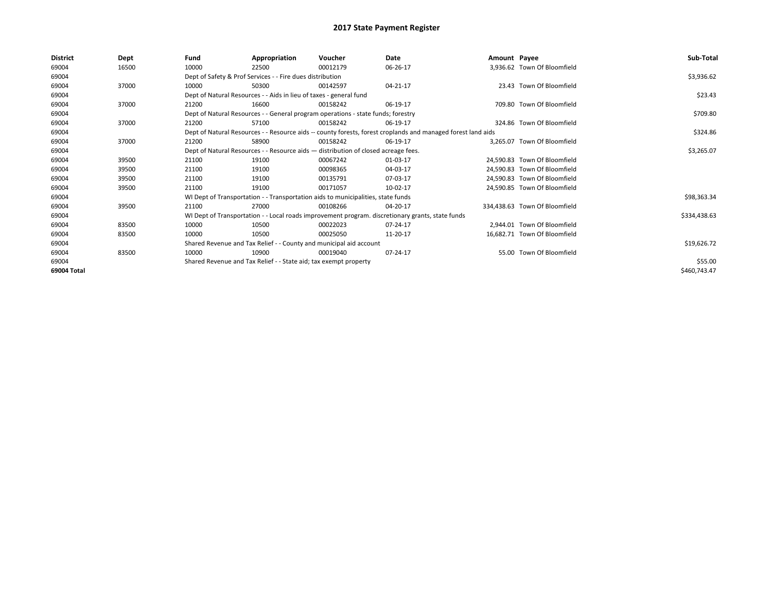| <b>District</b> | Dept  | Fund  | Appropriation                                                                                                | Voucher  | Date                                                                                             | Amount Payee |                               | Sub-Total    |
|-----------------|-------|-------|--------------------------------------------------------------------------------------------------------------|----------|--------------------------------------------------------------------------------------------------|--------------|-------------------------------|--------------|
| 69004           | 16500 | 10000 | 22500                                                                                                        | 00012179 | 06-26-17                                                                                         |              | 3,936.62 Town Of Bloomfield   |              |
| 69004           |       |       | Dept of Safety & Prof Services - - Fire dues distribution                                                    |          |                                                                                                  |              |                               | \$3,936.62   |
| 69004           | 37000 | 10000 | 50300                                                                                                        | 00142597 | 04-21-17                                                                                         |              | 23.43 Town Of Bloomfield      |              |
| 69004           |       |       | Dept of Natural Resources - - Aids in lieu of taxes - general fund                                           |          |                                                                                                  |              |                               | \$23.43      |
| 69004           | 37000 | 21200 | 16600                                                                                                        | 00158242 | 06-19-17                                                                                         |              | 709.80 Town Of Bloomfield     |              |
| 69004           |       |       | Dept of Natural Resources - - General program operations - state funds; forestry                             |          |                                                                                                  |              |                               | \$709.80     |
| 69004           | 37000 | 21200 | 57100                                                                                                        | 00158242 | 06-19-17                                                                                         |              | 324.86 Town Of Bloomfield     |              |
| 69004           |       |       | Dept of Natural Resources - - Resource aids -- county forests, forest croplands and managed forest land aids |          | \$324.86                                                                                         |              |                               |              |
| 69004           | 37000 | 21200 | 58900                                                                                                        | 00158242 | 06-19-17                                                                                         |              | 3.265.07 Town Of Bloomfield   |              |
| 69004           |       |       | Dept of Natural Resources - - Resource aids - distribution of closed acreage fees.                           |          | \$3,265.07                                                                                       |              |                               |              |
| 69004           | 39500 | 21100 | 19100                                                                                                        | 00067242 | 01-03-17                                                                                         |              | 24.590.83 Town Of Bloomfield  |              |
| 69004           | 39500 | 21100 | 19100                                                                                                        | 00098365 | 04-03-17                                                                                         |              | 24.590.83 Town Of Bloomfield  |              |
| 69004           | 39500 | 21100 | 19100                                                                                                        | 00135791 | 07-03-17                                                                                         |              | 24.590.83 Town Of Bloomfield  |              |
| 69004           | 39500 | 21100 | 19100                                                                                                        | 00171057 | 10-02-17                                                                                         |              | 24,590.85 Town Of Bloomfield  |              |
| 69004           |       |       | WI Dept of Transportation - - Transportation aids to municipalities, state funds                             |          |                                                                                                  |              |                               | \$98,363.34  |
| 69004           | 39500 | 21100 | 27000                                                                                                        | 00108266 | 04-20-17                                                                                         |              | 334,438.63 Town Of Bloomfield |              |
| 69004           |       |       |                                                                                                              |          | WI Dept of Transportation - - Local roads improvement program. discretionary grants, state funds |              |                               | \$334,438.63 |
| 69004           | 83500 | 10000 | 10500                                                                                                        | 00022023 | 07-24-17                                                                                         |              | 2.944.01 Town Of Bloomfield   |              |
| 69004           | 83500 | 10000 | 10500                                                                                                        | 00025050 | 11-20-17                                                                                         |              | 16.682.71 Town Of Bloomfield  |              |
| 69004           |       |       | Shared Revenue and Tax Relief - - County and municipal aid account                                           |          |                                                                                                  |              |                               | \$19,626.72  |
| 69004           | 83500 | 10000 | 10900                                                                                                        | 00019040 | 07-24-17                                                                                         |              | 55.00 Town Of Bloomfield      |              |
| 69004           |       |       | Shared Revenue and Tax Relief - - State aid; tax exempt property                                             |          |                                                                                                  |              |                               | \$55.00      |
| 69004 Total     |       |       |                                                                                                              |          |                                                                                                  |              |                               | \$460,743.47 |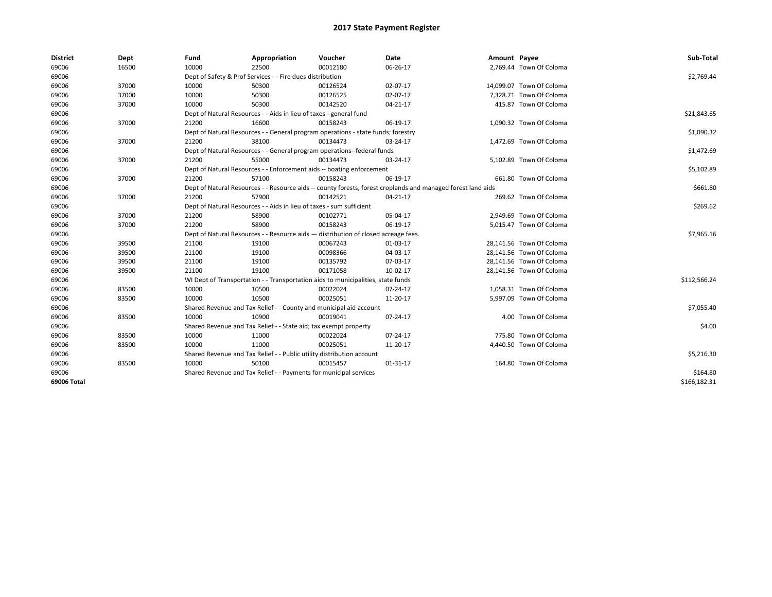| <b>District</b> | Dept  | Fund  | Appropriation                                                                                                | Voucher  | Date           | Amount Payee |                          | Sub-Total    |  |  |
|-----------------|-------|-------|--------------------------------------------------------------------------------------------------------------|----------|----------------|--------------|--------------------------|--------------|--|--|
| 69006           | 16500 | 10000 | 22500                                                                                                        | 00012180 | 06-26-17       |              | 2,769.44 Town Of Coloma  |              |  |  |
| 69006           |       |       | Dept of Safety & Prof Services - - Fire dues distribution                                                    |          |                |              |                          | \$2,769.44   |  |  |
| 69006           | 37000 | 10000 | 50300                                                                                                        | 00126524 | 02-07-17       |              | 14,099.07 Town Of Coloma |              |  |  |
| 69006           | 37000 | 10000 | 50300                                                                                                        | 00126525 | 02-07-17       |              | 7.328.71 Town Of Coloma  |              |  |  |
| 69006           | 37000 | 10000 | 50300                                                                                                        | 00142520 | 04-21-17       |              | 415.87 Town Of Coloma    |              |  |  |
| 69006           |       |       | Dept of Natural Resources - - Aids in lieu of taxes - general fund                                           |          |                |              |                          | \$21,843.65  |  |  |
| 69006           | 37000 | 21200 | 16600                                                                                                        | 00158243 | 06-19-17       |              | 1,090.32 Town Of Coloma  |              |  |  |
| 69006           |       |       | Dept of Natural Resources - - General program operations - state funds; forestry                             |          |                |              |                          | \$1,090.32   |  |  |
| 69006           | 37000 | 21200 | 38100                                                                                                        | 00134473 | 03-24-17       |              | 1,472.69 Town Of Coloma  |              |  |  |
| 69006           |       |       | Dept of Natural Resources - - General program operations--federal funds                                      |          |                |              |                          | \$1,472.69   |  |  |
| 69006           | 37000 | 21200 | 55000                                                                                                        | 00134473 | 03-24-17       |              | 5,102.89 Town Of Coloma  |              |  |  |
| 69006           |       |       | Dept of Natural Resources - - Enforcement aids -- boating enforcement                                        |          | \$5,102.89     |              |                          |              |  |  |
| 69006           | 37000 | 21200 | 57100                                                                                                        | 00158243 | 06-19-17       |              | 661.80 Town Of Coloma    |              |  |  |
| 69006           |       |       | Dept of Natural Resources - - Resource aids -- county forests, forest croplands and managed forest land aids |          |                |              |                          |              |  |  |
| 69006           | 37000 | 21200 | 57900                                                                                                        | 00142521 | 04-21-17       |              | 269.62 Town Of Coloma    |              |  |  |
| 69006           |       |       | Dept of Natural Resources - - Aids in lieu of taxes - sum sufficient                                         |          |                |              |                          | \$269.62     |  |  |
| 69006           | 37000 | 21200 | 58900                                                                                                        | 00102771 | 05-04-17       |              | 2,949.69 Town Of Coloma  |              |  |  |
| 69006           | 37000 | 21200 | 58900                                                                                                        | 00158243 | 06-19-17       |              | 5,015.47 Town Of Coloma  |              |  |  |
| 69006           |       |       | Dept of Natural Resources - - Resource aids - distribution of closed acreage fees.                           |          |                |              |                          | \$7,965.16   |  |  |
| 69006           | 39500 | 21100 | 19100                                                                                                        | 00067243 | 01-03-17       |              | 28,141.56 Town Of Coloma |              |  |  |
| 69006           | 39500 | 21100 | 19100                                                                                                        | 00098366 | 04-03-17       |              | 28,141.56 Town Of Coloma |              |  |  |
| 69006           | 39500 | 21100 | 19100                                                                                                        | 00135792 | 07-03-17       |              | 28,141.56 Town Of Coloma |              |  |  |
| 69006           | 39500 | 21100 | 19100                                                                                                        | 00171058 | 10-02-17       |              | 28,141.56 Town Of Coloma |              |  |  |
| 69006           |       |       | WI Dept of Transportation - - Transportation aids to municipalities, state funds                             |          |                |              |                          | \$112,566.24 |  |  |
| 69006           | 83500 | 10000 | 10500                                                                                                        | 00022024 | $07 - 24 - 17$ |              | 1,058.31 Town Of Coloma  |              |  |  |
| 69006           | 83500 | 10000 | 10500                                                                                                        | 00025051 | 11-20-17       |              | 5,997.09 Town Of Coloma  |              |  |  |
| 69006           |       |       | Shared Revenue and Tax Relief - - County and municipal aid account                                           |          |                |              |                          | \$7,055.40   |  |  |
| 69006           | 83500 | 10000 | 10900                                                                                                        | 00019041 | 07-24-17       |              | 4.00 Town Of Coloma      |              |  |  |
| 69006           |       |       | Shared Revenue and Tax Relief - - State aid; tax exempt property                                             |          |                |              |                          | \$4.00       |  |  |
| 69006           | 83500 | 10000 | 11000                                                                                                        | 00022024 | 07-24-17       |              | 775.80 Town Of Coloma    |              |  |  |
| 69006           | 83500 | 10000 | 11000                                                                                                        | 00025051 | 11-20-17       |              | 4,440.50 Town Of Coloma  |              |  |  |
| 69006           |       |       | Shared Revenue and Tax Relief - - Public utility distribution account                                        |          |                |              |                          | \$5,216.30   |  |  |
| 69006           | 83500 | 10000 | 50100                                                                                                        | 00015457 | $01 - 31 - 17$ |              | 164.80 Town Of Coloma    |              |  |  |
| 69006           |       |       | Shared Revenue and Tax Relief - - Payments for municipal services                                            |          |                |              |                          | \$164.80     |  |  |
| 69006 Total     |       |       |                                                                                                              |          |                |              |                          | \$166,182.31 |  |  |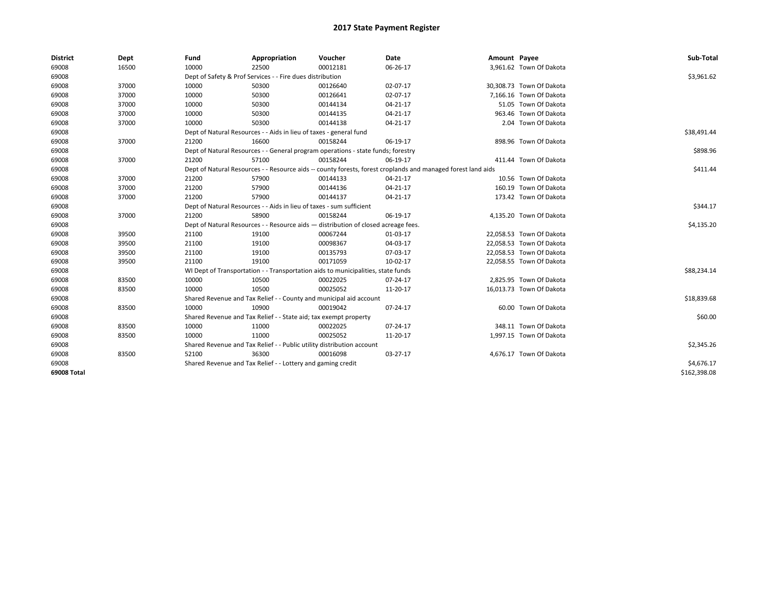| <b>District</b> | Dept  | Fund                                                                               | Appropriation                                                                    | Voucher    | Date                                                                                                         | Amount Payee |                          | Sub-Total    |
|-----------------|-------|------------------------------------------------------------------------------------|----------------------------------------------------------------------------------|------------|--------------------------------------------------------------------------------------------------------------|--------------|--------------------------|--------------|
| 69008           | 16500 | 10000                                                                              | 22500                                                                            | 00012181   | 06-26-17                                                                                                     |              | 3,961.62 Town Of Dakota  |              |
| 69008           |       |                                                                                    | Dept of Safety & Prof Services - - Fire dues distribution                        |            |                                                                                                              |              |                          | \$3,961.62   |
| 69008           | 37000 | 10000                                                                              | 50300                                                                            | 00126640   | 02-07-17                                                                                                     |              | 30,308.73 Town Of Dakota |              |
| 69008           | 37000 | 10000                                                                              | 50300                                                                            | 00126641   | 02-07-17                                                                                                     |              | 7.166.16 Town Of Dakota  |              |
| 69008           | 37000 | 10000                                                                              | 50300                                                                            | 00144134   | 04-21-17                                                                                                     |              | 51.05 Town Of Dakota     |              |
| 69008           | 37000 | 10000                                                                              | 50300                                                                            | 00144135   | $04 - 21 - 17$                                                                                               |              | 963.46 Town Of Dakota    |              |
| 69008           | 37000 | 10000                                                                              | 50300                                                                            | 00144138   | 04-21-17                                                                                                     |              | 2.04 Town Of Dakota      |              |
| 69008           |       |                                                                                    | Dept of Natural Resources - - Aids in lieu of taxes - general fund               |            |                                                                                                              |              |                          | \$38,491.44  |
| 69008           | 37000 | 21200                                                                              | 16600                                                                            | 00158244   | 06-19-17                                                                                                     |              | 898.96 Town Of Dakota    |              |
| 69008           |       |                                                                                    | Dept of Natural Resources - - General program operations - state funds; forestry |            |                                                                                                              |              |                          | \$898.96     |
| 69008           | 37000 | 21200                                                                              | 57100                                                                            | 00158244   | 06-19-17                                                                                                     |              | 411.44 Town Of Dakota    |              |
| 69008           |       |                                                                                    |                                                                                  |            | Dept of Natural Resources - - Resource aids -- county forests, forest croplands and managed forest land aids |              |                          | \$411.44     |
| 69008           | 37000 | 21200                                                                              | 57900                                                                            | 00144133   | 04-21-17                                                                                                     |              | 10.56 Town Of Dakota     |              |
| 69008           | 37000 | 21200                                                                              | 57900                                                                            | 00144136   | 04-21-17                                                                                                     |              | 160.19 Town Of Dakota    |              |
| 69008           | 37000 | 21200                                                                              | 57900                                                                            | 00144137   | 04-21-17                                                                                                     |              | 173.42 Town Of Dakota    |              |
| 69008           |       | Dept of Natural Resources - - Aids in lieu of taxes - sum sufficient               |                                                                                  | \$344.17   |                                                                                                              |              |                          |              |
| 69008           | 37000 | 21200                                                                              | 58900                                                                            | 00158244   | 06-19-17                                                                                                     |              | 4,135.20 Town Of Dakota  |              |
| 69008           |       | Dept of Natural Resources - - Resource aids - distribution of closed acreage fees. |                                                                                  | \$4,135.20 |                                                                                                              |              |                          |              |
| 69008           | 39500 | 21100                                                                              | 19100                                                                            | 00067244   | 01-03-17                                                                                                     |              | 22,058.53 Town Of Dakota |              |
| 69008           | 39500 | 21100                                                                              | 19100                                                                            | 00098367   | 04-03-17                                                                                                     |              | 22,058.53 Town Of Dakota |              |
| 69008           | 39500 | 21100                                                                              | 19100                                                                            | 00135793   | 07-03-17                                                                                                     |              | 22,058.53 Town Of Dakota |              |
| 69008           | 39500 | 21100                                                                              | 19100                                                                            | 00171059   | 10-02-17                                                                                                     |              | 22,058.55 Town Of Dakota |              |
| 69008           |       |                                                                                    | WI Dept of Transportation - - Transportation aids to municipalities, state funds |            |                                                                                                              |              |                          | \$88,234.14  |
| 69008           | 83500 | 10000                                                                              | 10500                                                                            | 00022025   | 07-24-17                                                                                                     |              | 2,825.95 Town Of Dakota  |              |
| 69008           | 83500 | 10000                                                                              | 10500                                                                            | 00025052   | 11-20-17                                                                                                     |              | 16,013.73 Town Of Dakota |              |
| 69008           |       |                                                                                    | Shared Revenue and Tax Relief - - County and municipal aid account               |            |                                                                                                              |              |                          | \$18,839.68  |
| 69008           | 83500 | 10000                                                                              | 10900                                                                            | 00019042   | 07-24-17                                                                                                     |              | 60.00 Town Of Dakota     |              |
| 69008           |       |                                                                                    | Shared Revenue and Tax Relief - - State aid; tax exempt property                 |            |                                                                                                              |              |                          | \$60.00      |
| 69008           | 83500 | 10000                                                                              | 11000                                                                            | 00022025   | 07-24-17                                                                                                     |              | 348.11 Town Of Dakota    |              |
| 69008           | 83500 | 10000                                                                              | 11000                                                                            | 00025052   | 11-20-17                                                                                                     |              | 1,997.15 Town Of Dakota  |              |
| 69008           |       |                                                                                    | Shared Revenue and Tax Relief - - Public utility distribution account            |            |                                                                                                              |              |                          | \$2,345.26   |
| 69008           | 83500 | 52100                                                                              | 36300                                                                            | 00016098   | 03-27-17                                                                                                     |              | 4,676.17 Town Of Dakota  |              |
| 69008           |       |                                                                                    | Shared Revenue and Tax Relief - - Lottery and gaming credit                      |            |                                                                                                              |              |                          | \$4,676.17   |
| 69008 Total     |       |                                                                                    |                                                                                  |            |                                                                                                              |              |                          | \$162,398.08 |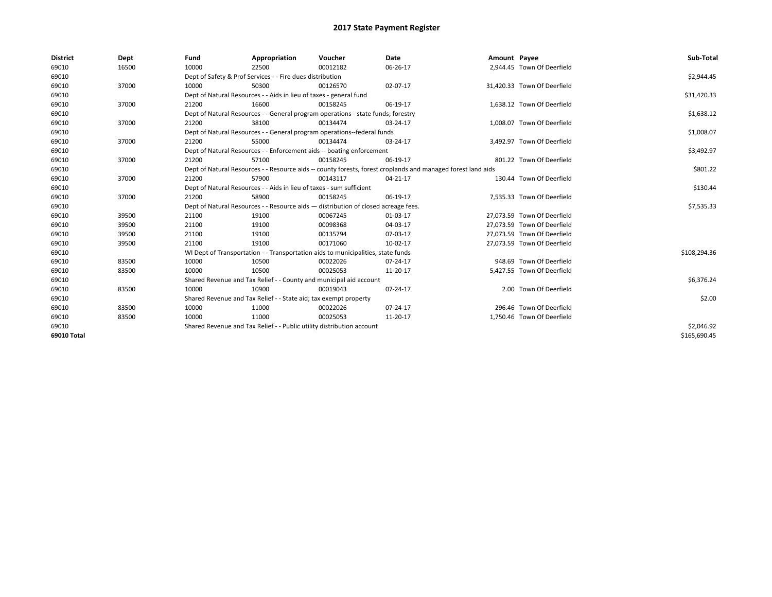| <b>District</b> | Dept  | Fund  | Appropriation                                                                                                | Voucher  | Date       | Amount Payee |                             | Sub-Total    |  |  |
|-----------------|-------|-------|--------------------------------------------------------------------------------------------------------------|----------|------------|--------------|-----------------------------|--------------|--|--|
| 69010           | 16500 | 10000 | 22500                                                                                                        | 00012182 | 06-26-17   |              | 2,944.45 Town Of Deerfield  |              |  |  |
| 69010           |       |       | Dept of Safety & Prof Services - - Fire dues distribution                                                    |          |            |              |                             | \$2,944.45   |  |  |
| 69010           | 37000 | 10000 | 50300                                                                                                        | 00126570 | 02-07-17   |              | 31,420.33 Town Of Deerfield |              |  |  |
| 69010           |       |       | Dept of Natural Resources - - Aids in lieu of taxes - general fund                                           |          |            |              |                             | \$31,420.33  |  |  |
| 69010           | 37000 | 21200 | 16600                                                                                                        | 00158245 | 06-19-17   |              | 1,638.12 Town Of Deerfield  |              |  |  |
| 69010           |       |       | Dept of Natural Resources - - General program operations - state funds; forestry                             |          |            |              |                             |              |  |  |
| 69010           | 37000 | 21200 | 38100                                                                                                        | 00134474 | 03-24-17   |              | 1.008.07 Town Of Deerfield  |              |  |  |
| 69010           |       |       | Dept of Natural Resources - - General program operations--federal funds                                      |          | \$1,008.07 |              |                             |              |  |  |
| 69010           | 37000 | 21200 | 55000                                                                                                        | 00134474 | 03-24-17   |              | 3,492.97 Town Of Deerfield  |              |  |  |
| 69010           |       |       | Dept of Natural Resources - - Enforcement aids -- boating enforcement                                        |          |            |              |                             |              |  |  |
| 69010           | 37000 | 21200 | 57100                                                                                                        | 00158245 | 06-19-17   |              | 801.22 Town Of Deerfield    |              |  |  |
| 69010           |       |       | Dept of Natural Resources - - Resource aids -- county forests, forest croplands and managed forest land aids |          |            |              |                             |              |  |  |
| 69010           | 37000 | 21200 | 57900                                                                                                        | 00143117 | 04-21-17   |              | 130.44 Town Of Deerfield    |              |  |  |
| 69010           |       |       | Dept of Natural Resources - - Aids in lieu of taxes - sum sufficient                                         |          |            |              |                             |              |  |  |
| 69010           | 37000 | 21200 | 58900                                                                                                        | 00158245 | 06-19-17   |              | 7,535.33 Town Of Deerfield  |              |  |  |
| 69010           |       |       | Dept of Natural Resources - - Resource aids - distribution of closed acreage fees.                           |          |            |              |                             | \$7,535.33   |  |  |
| 69010           | 39500 | 21100 | 19100                                                                                                        | 00067245 | 01-03-17   |              | 27,073.59 Town Of Deerfield |              |  |  |
| 69010           | 39500 | 21100 | 19100                                                                                                        | 00098368 | 04-03-17   |              | 27.073.59 Town Of Deerfield |              |  |  |
| 69010           | 39500 | 21100 | 19100                                                                                                        | 00135794 | 07-03-17   |              | 27.073.59 Town Of Deerfield |              |  |  |
| 69010           | 39500 | 21100 | 19100                                                                                                        | 00171060 | 10-02-17   |              | 27.073.59 Town Of Deerfield |              |  |  |
| 69010           |       |       | WI Dept of Transportation - - Transportation aids to municipalities, state funds                             |          |            |              |                             | \$108,294.36 |  |  |
| 69010           | 83500 | 10000 | 10500                                                                                                        | 00022026 | 07-24-17   |              | 948.69 Town Of Deerfield    |              |  |  |
| 69010           | 83500 | 10000 | 10500                                                                                                        | 00025053 | 11-20-17   |              | 5,427.55 Town Of Deerfield  |              |  |  |
| 69010           |       |       | Shared Revenue and Tax Relief - - County and municipal aid account                                           |          |            |              |                             | \$6,376.24   |  |  |
| 69010           | 83500 | 10000 | 10900                                                                                                        | 00019043 | 07-24-17   |              | 2.00 Town Of Deerfield      |              |  |  |
| 69010           |       |       | Shared Revenue and Tax Relief - - State aid; tax exempt property                                             |          |            |              |                             | \$2.00       |  |  |
| 69010           | 83500 | 10000 | 11000                                                                                                        | 00022026 | 07-24-17   |              | 296.46 Town Of Deerfield    |              |  |  |
| 69010           | 83500 | 10000 | 11000                                                                                                        | 00025053 | 11-20-17   |              | 1,750.46 Town Of Deerfield  |              |  |  |
| 69010           |       |       | Shared Revenue and Tax Relief - - Public utility distribution account                                        |          |            |              |                             | \$2,046.92   |  |  |
| 69010 Total     |       |       |                                                                                                              |          |            |              |                             | \$165,690.45 |  |  |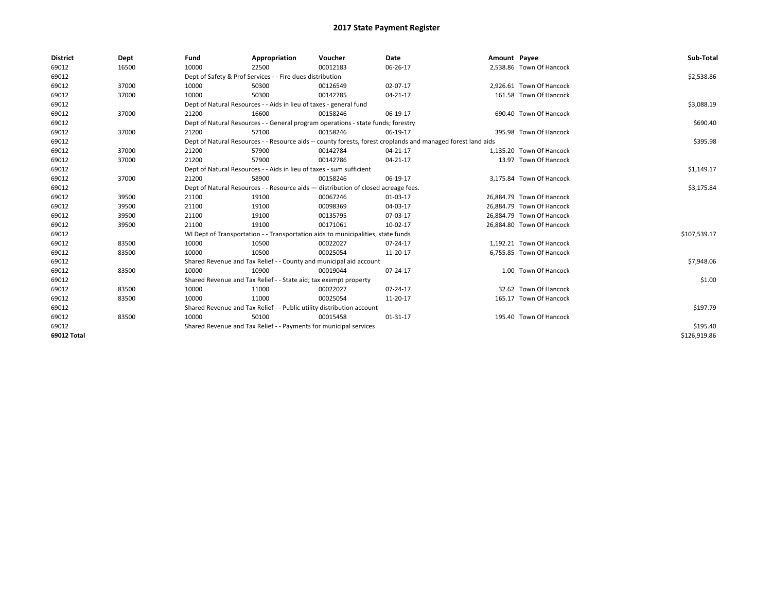| <b>District</b> | Dept  | Fund                                                                               | Appropriation                                                                                                | Voucher                                                                          | <b>Date</b> | Amount Payee |                           | Sub-Total    |
|-----------------|-------|------------------------------------------------------------------------------------|--------------------------------------------------------------------------------------------------------------|----------------------------------------------------------------------------------|-------------|--------------|---------------------------|--------------|
| 69012           | 16500 | 10000                                                                              | 22500                                                                                                        | 00012183                                                                         | 06-26-17    |              | 2,538.86 Town Of Hancock  |              |
| 69012           |       |                                                                                    | Dept of Safety & Prof Services - - Fire dues distribution                                                    |                                                                                  |             |              |                           | \$2,538.86   |
| 69012           | 37000 | 10000                                                                              | 50300                                                                                                        | 00126549                                                                         | 02-07-17    |              | 2,926.61 Town Of Hancock  |              |
| 69012           | 37000 | 10000                                                                              | 50300                                                                                                        | 00142785                                                                         | 04-21-17    |              | 161.58 Town Of Hancock    |              |
| 69012           |       |                                                                                    | Dept of Natural Resources - - Aids in lieu of taxes - general fund                                           |                                                                                  |             |              |                           | \$3,088.19   |
| 69012           | 37000 | 21200                                                                              | 16600                                                                                                        | 00158246                                                                         | 06-19-17    |              | 690.40 Town Of Hancock    |              |
| 69012           |       |                                                                                    |                                                                                                              | Dept of Natural Resources - - General program operations - state funds; forestry |             |              |                           | \$690.40     |
| 69012           | 37000 | 21200                                                                              | 57100                                                                                                        | 00158246                                                                         | 06-19-17    |              | 395.98 Town Of Hancock    |              |
| 69012           |       |                                                                                    | Dept of Natural Resources - - Resource aids -- county forests, forest croplands and managed forest land aids |                                                                                  | \$395.98    |              |                           |              |
| 69012           | 37000 | 21200                                                                              | 57900                                                                                                        | 00142784                                                                         | 04-21-17    |              | 1,135.20 Town Of Hancock  |              |
| 69012           | 37000 | 21200                                                                              | 57900                                                                                                        | 00142786                                                                         | 04-21-17    |              | 13.97 Town Of Hancock     |              |
| 69012           |       |                                                                                    | Dept of Natural Resources - - Aids in lieu of taxes - sum sufficient                                         |                                                                                  |             |              |                           | \$1,149.17   |
| 69012           | 37000 | 21200                                                                              | 58900                                                                                                        | 00158246                                                                         | 06-19-17    |              | 3,175.84 Town Of Hancock  |              |
| 69012           |       | Dept of Natural Resources - - Resource aids - distribution of closed acreage fees. |                                                                                                              | \$3,175.84                                                                       |             |              |                           |              |
| 69012           | 39500 | 21100                                                                              | 19100                                                                                                        | 00067246                                                                         | 01-03-17    |              | 26.884.79 Town Of Hancock |              |
| 69012           | 39500 | 21100                                                                              | 19100                                                                                                        | 00098369                                                                         | 04-03-17    |              | 26,884.79 Town Of Hancock |              |
| 69012           | 39500 | 21100                                                                              | 19100                                                                                                        | 00135795                                                                         | 07-03-17    |              | 26,884.79 Town Of Hancock |              |
| 69012           | 39500 | 21100                                                                              | 19100                                                                                                        | 00171061                                                                         | 10-02-17    |              | 26,884.80 Town Of Hancock |              |
| 69012           |       |                                                                                    |                                                                                                              | WI Dept of Transportation - - Transportation aids to municipalities, state funds |             |              |                           | \$107,539.17 |
| 69012           | 83500 | 10000                                                                              | 10500                                                                                                        | 00022027                                                                         | 07-24-17    |              | 1.192.21 Town Of Hancock  |              |
| 69012           | 83500 | 10000                                                                              | 10500                                                                                                        | 00025054                                                                         | 11-20-17    |              | 6,755.85 Town Of Hancock  |              |
| 69012           |       |                                                                                    | Shared Revenue and Tax Relief - - County and municipal aid account                                           |                                                                                  |             |              |                           | \$7,948.06   |
| 69012           | 83500 | 10000                                                                              | 10900                                                                                                        | 00019044                                                                         | 07-24-17    |              | 1.00 Town Of Hancock      |              |
| 69012           |       |                                                                                    | Shared Revenue and Tax Relief - - State aid; tax exempt property                                             |                                                                                  |             |              |                           | \$1.00       |
| 69012           | 83500 | 10000                                                                              | 11000                                                                                                        | 00022027                                                                         | 07-24-17    |              | 32.62 Town Of Hancock     |              |
| 69012           | 83500 | 10000                                                                              | 11000                                                                                                        | 00025054                                                                         | 11-20-17    |              | 165.17 Town Of Hancock    |              |
| 69012           |       |                                                                                    | Shared Revenue and Tax Relief - - Public utility distribution account                                        |                                                                                  |             |              |                           | \$197.79     |
| 69012           | 83500 | 10000                                                                              | 50100                                                                                                        | 00015458                                                                         | 01-31-17    |              | 195.40 Town Of Hancock    |              |
| 69012           |       |                                                                                    | Shared Revenue and Tax Relief - - Payments for municipal services                                            |                                                                                  |             |              |                           | \$195.40     |
| 69012 Total     |       |                                                                                    |                                                                                                              |                                                                                  |             |              |                           | \$126,919.86 |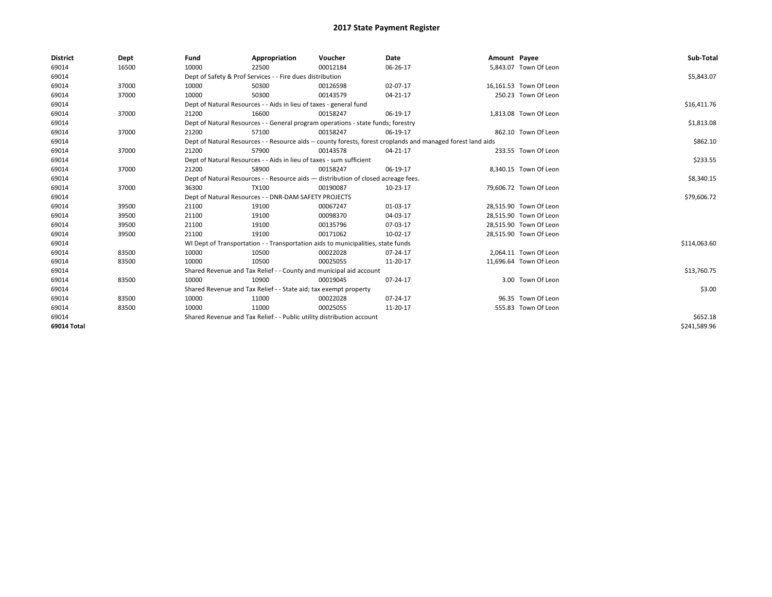| <b>District</b> | Dept  | Fund                                                                                                         | Appropriation                                                                    | Voucher    | Date     | Amount Payee |                        | Sub-Total    |  |  |
|-----------------|-------|--------------------------------------------------------------------------------------------------------------|----------------------------------------------------------------------------------|------------|----------|--------------|------------------------|--------------|--|--|
| 69014           | 16500 | 10000                                                                                                        | 22500                                                                            | 00012184   | 06-26-17 |              | 5,843.07 Town Of Leon  |              |  |  |
| 69014           |       |                                                                                                              | Dept of Safety & Prof Services - - Fire dues distribution                        |            |          |              |                        | \$5,843.07   |  |  |
| 69014           | 37000 | 10000                                                                                                        | 50300                                                                            | 00126598   | 02-07-17 |              | 16,161.53 Town Of Leon |              |  |  |
| 69014           | 37000 | 10000                                                                                                        | 50300                                                                            | 00143579   | 04-21-17 |              | 250.23 Town Of Leon    |              |  |  |
| 69014           |       |                                                                                                              | Dept of Natural Resources - - Aids in lieu of taxes - general fund               |            |          |              |                        | \$16,411.76  |  |  |
| 69014           | 37000 | 21200                                                                                                        | 16600                                                                            | 00158247   | 06-19-17 |              | 1,813.08 Town Of Leon  |              |  |  |
| 69014           |       |                                                                                                              | Dept of Natural Resources - - General program operations - state funds; forestry |            |          |              |                        |              |  |  |
| 69014           | 37000 | 21200                                                                                                        | 57100                                                                            | 00158247   | 06-19-17 |              | 862.10 Town Of Leon    |              |  |  |
| 69014           |       | Dept of Natural Resources - - Resource aids -- county forests, forest croplands and managed forest land aids |                                                                                  | \$862.10   |          |              |                        |              |  |  |
| 69014           | 37000 | 21200                                                                                                        | 57900                                                                            | 00143578   | 04-21-17 |              | 233.55 Town Of Leon    |              |  |  |
| 69014           |       | Dept of Natural Resources - - Aids in lieu of taxes - sum sufficient                                         |                                                                                  | \$233.55   |          |              |                        |              |  |  |
| 69014           | 37000 | 21200                                                                                                        | 58900                                                                            | 00158247   | 06-19-17 |              | 8,340.15 Town Of Leon  |              |  |  |
| 69014           |       | Dept of Natural Resources - - Resource aids - distribution of closed acreage fees.                           |                                                                                  | \$8,340.15 |          |              |                        |              |  |  |
| 69014           | 37000 | 36300                                                                                                        | <b>TX100</b>                                                                     | 00190087   | 10-23-17 |              | 79,606.72 Town Of Leon |              |  |  |
| 69014           |       |                                                                                                              | Dept of Natural Resources - - DNR-DAM SAFETY PROJECTS                            |            |          |              |                        | \$79,606.72  |  |  |
| 69014           | 39500 | 21100                                                                                                        | 19100                                                                            | 00067247   | 01-03-17 |              | 28,515.90 Town Of Leon |              |  |  |
| 69014           | 39500 | 21100                                                                                                        | 19100                                                                            | 00098370   | 04-03-17 |              | 28,515.90 Town Of Leon |              |  |  |
| 69014           | 39500 | 21100                                                                                                        | 19100                                                                            | 00135796   | 07-03-17 |              | 28,515.90 Town Of Leon |              |  |  |
| 69014           | 39500 | 21100                                                                                                        | 19100                                                                            | 00171062   | 10-02-17 |              | 28,515.90 Town Of Leon |              |  |  |
| 69014           |       |                                                                                                              | WI Dept of Transportation - - Transportation aids to municipalities, state funds |            |          |              |                        | \$114,063.60 |  |  |
| 69014           | 83500 | 10000                                                                                                        | 10500                                                                            | 00022028   | 07-24-17 |              | 2,064.11 Town Of Leon  |              |  |  |
| 69014           | 83500 | 10000                                                                                                        | 10500                                                                            | 00025055   | 11-20-17 |              | 11,696.64 Town Of Leon |              |  |  |
| 69014           |       |                                                                                                              | Shared Revenue and Tax Relief - - County and municipal aid account               |            |          |              |                        | \$13,760.75  |  |  |
| 69014           | 83500 | 10000                                                                                                        | 10900                                                                            | 00019045   | 07-24-17 |              | 3.00 Town Of Leon      |              |  |  |
| 69014           |       |                                                                                                              | Shared Revenue and Tax Relief - - State aid; tax exempt property                 |            |          |              |                        | \$3.00       |  |  |
| 69014           | 83500 | 10000                                                                                                        | 11000                                                                            | 00022028   | 07-24-17 |              | 96.35 Town Of Leon     |              |  |  |
| 69014           | 83500 | 10000                                                                                                        | 11000                                                                            | 00025055   | 11-20-17 |              | 555.83 Town Of Leon    |              |  |  |
| 69014           |       |                                                                                                              | Shared Revenue and Tax Relief - - Public utility distribution account            |            |          |              |                        | \$652.18     |  |  |
| 69014 Total     |       |                                                                                                              |                                                                                  |            |          |              |                        | \$241.589.96 |  |  |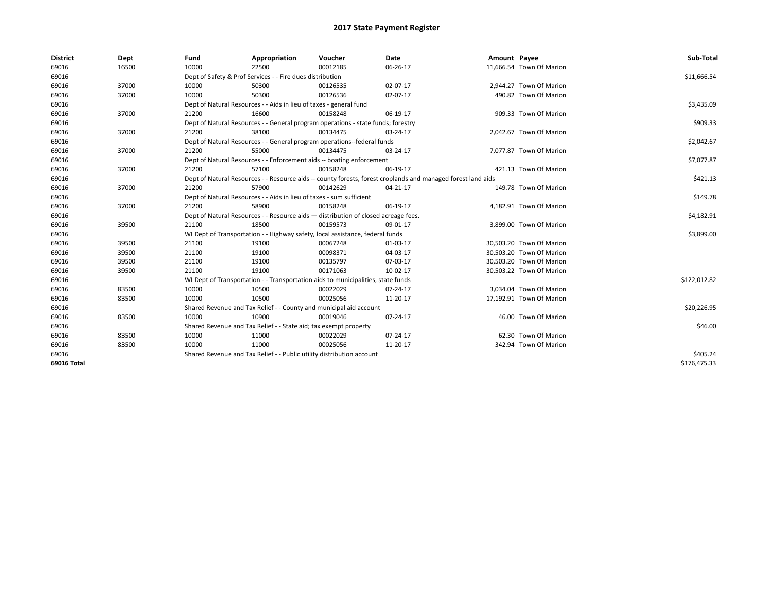| <b>District</b> | Dept  | Fund  | Appropriation                                                                                                | Voucher  | Date       | Amount Payee |                          | Sub-Total    |  |  |
|-----------------|-------|-------|--------------------------------------------------------------------------------------------------------------|----------|------------|--------------|--------------------------|--------------|--|--|
| 69016           | 16500 | 10000 | 22500                                                                                                        | 00012185 | 06-26-17   |              | 11,666.54 Town Of Marion |              |  |  |
| 69016           |       |       | Dept of Safety & Prof Services - - Fire dues distribution                                                    |          |            |              |                          | \$11,666.54  |  |  |
| 69016           | 37000 | 10000 | 50300                                                                                                        | 00126535 | 02-07-17   |              | 2,944.27 Town Of Marion  |              |  |  |
| 69016           | 37000 | 10000 | 50300                                                                                                        | 00126536 | 02-07-17   |              | 490.82 Town Of Marion    |              |  |  |
| 69016           |       |       | Dept of Natural Resources - - Aids in lieu of taxes - general fund                                           |          |            |              |                          | \$3,435.09   |  |  |
| 69016           | 37000 | 21200 | 16600                                                                                                        | 00158248 | 06-19-17   |              | 909.33 Town Of Marion    |              |  |  |
| 69016           |       |       | Dept of Natural Resources - - General program operations - state funds; forestry                             |          |            |              |                          | \$909.33     |  |  |
| 69016           | 37000 | 21200 | 38100                                                                                                        | 00134475 | 03-24-17   |              | 2,042.67 Town Of Marion  |              |  |  |
| 69016           |       |       | Dept of Natural Resources - - General program operations--federal funds                                      |          |            |              |                          | \$2,042.67   |  |  |
| 69016           | 37000 | 21200 | 55000                                                                                                        | 00134475 | 03-24-17   |              | 7,077.87 Town Of Marion  |              |  |  |
| 69016           |       |       | Dept of Natural Resources - - Enforcement aids -- boating enforcement                                        |          | \$7,077.87 |              |                          |              |  |  |
| 69016           | 37000 | 21200 | 57100                                                                                                        | 00158248 | 06-19-17   |              | 421.13 Town Of Marion    |              |  |  |
| 69016           |       |       | Dept of Natural Resources - - Resource aids -- county forests, forest croplands and managed forest land aids |          | \$421.13   |              |                          |              |  |  |
| 69016           | 37000 | 21200 | 57900                                                                                                        | 00142629 | 04-21-17   |              | 149.78 Town Of Marion    |              |  |  |
| 69016           |       |       | Dept of Natural Resources - - Aids in lieu of taxes - sum sufficient                                         |          |            |              |                          |              |  |  |
| 69016           | 37000 | 21200 | 58900                                                                                                        | 00158248 | 06-19-17   |              | 4,182.91 Town Of Marion  |              |  |  |
| 69016           |       |       | Dept of Natural Resources - - Resource aids - distribution of closed acreage fees.                           |          |            |              |                          |              |  |  |
| 69016           | 39500 | 21100 | 18500                                                                                                        | 00159573 | 09-01-17   |              | 3,899.00 Town Of Marion  |              |  |  |
| 69016           |       |       | WI Dept of Transportation - - Highway safety, local assistance, federal funds                                |          |            |              |                          | \$3,899.00   |  |  |
| 69016           | 39500 | 21100 | 19100                                                                                                        | 00067248 | 01-03-17   |              | 30,503.20 Town Of Marion |              |  |  |
| 69016           | 39500 | 21100 | 19100                                                                                                        | 00098371 | 04-03-17   |              | 30,503.20 Town Of Marion |              |  |  |
| 69016           | 39500 | 21100 | 19100                                                                                                        | 00135797 | 07-03-17   |              | 30,503.20 Town Of Marion |              |  |  |
| 69016           | 39500 | 21100 | 19100                                                                                                        | 00171063 | 10-02-17   |              | 30,503.22 Town Of Marion |              |  |  |
| 69016           |       |       | WI Dept of Transportation - - Transportation aids to municipalities, state funds                             |          |            |              |                          | \$122,012.82 |  |  |
| 69016           | 83500 | 10000 | 10500                                                                                                        | 00022029 | 07-24-17   |              | 3,034.04 Town Of Marion  |              |  |  |
| 69016           | 83500 | 10000 | 10500                                                                                                        | 00025056 | 11-20-17   |              | 17,192.91 Town Of Marion |              |  |  |
| 69016           |       |       | Shared Revenue and Tax Relief - - County and municipal aid account                                           |          |            |              |                          | \$20,226.95  |  |  |
| 69016           | 83500 | 10000 | 10900                                                                                                        | 00019046 | 07-24-17   |              | 46.00 Town Of Marion     |              |  |  |
| 69016           |       |       | Shared Revenue and Tax Relief - - State aid; tax exempt property                                             |          |            |              |                          |              |  |  |
| 69016           | 83500 | 10000 | 11000                                                                                                        | 00022029 | 07-24-17   |              | 62.30 Town Of Marion     |              |  |  |
| 69016           | 83500 | 10000 | 11000                                                                                                        | 00025056 | 11-20-17   |              | 342.94 Town Of Marion    |              |  |  |
| 69016           |       |       | Shared Revenue and Tax Relief - - Public utility distribution account                                        |          |            |              |                          | \$405.24     |  |  |
| 69016 Total     |       |       |                                                                                                              |          |            |              |                          | \$176,475.33 |  |  |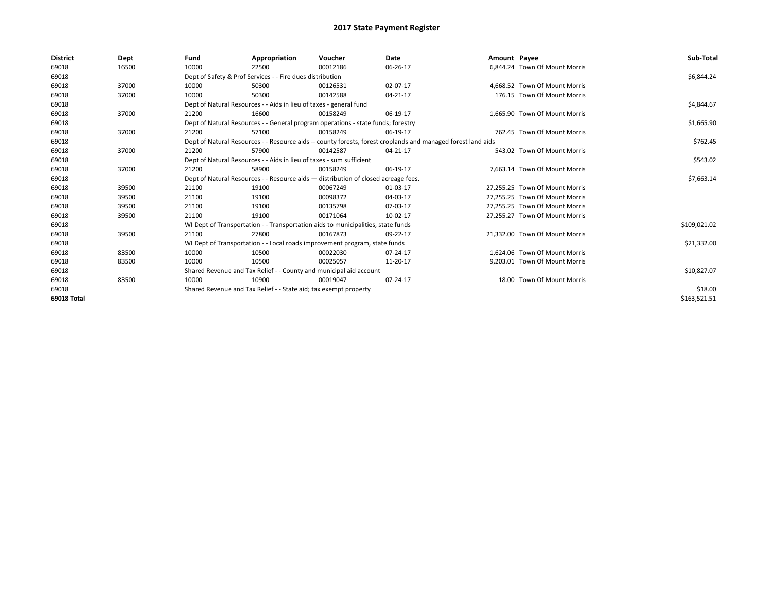| <b>District</b> | Dept  | Fund                                                               | Appropriation                                                                                                | Voucher     | Date     | Amount Payee |                                | Sub-Total    |  |  |
|-----------------|-------|--------------------------------------------------------------------|--------------------------------------------------------------------------------------------------------------|-------------|----------|--------------|--------------------------------|--------------|--|--|
| 69018           | 16500 | 10000                                                              | 22500                                                                                                        | 00012186    | 06-26-17 |              | 6.844.24 Town Of Mount Morris  |              |  |  |
| 69018           |       |                                                                    | Dept of Safety & Prof Services - - Fire dues distribution                                                    |             |          |              |                                | \$6,844.24   |  |  |
| 69018           | 37000 | 10000                                                              | 50300                                                                                                        | 00126531    | 02-07-17 |              | 4.668.52 Town Of Mount Morris  |              |  |  |
| 69018           | 37000 | 10000                                                              | 50300                                                                                                        | 00142588    | 04-21-17 |              | 176.15 Town Of Mount Morris    |              |  |  |
| 69018           |       |                                                                    | Dept of Natural Resources - - Aids in lieu of taxes - general fund                                           |             |          |              |                                | \$4,844.67   |  |  |
| 69018           | 37000 | 21200                                                              | 16600                                                                                                        | 00158249    | 06-19-17 |              | 1,665.90 Town Of Mount Morris  |              |  |  |
| 69018           |       |                                                                    | Dept of Natural Resources - - General program operations - state funds; forestry                             |             |          |              |                                | \$1,665.90   |  |  |
| 69018           | 37000 | 21200                                                              | 57100                                                                                                        | 00158249    | 06-19-17 |              | 762.45 Town Of Mount Morris    |              |  |  |
| 69018           |       |                                                                    | Dept of Natural Resources - - Resource aids -- county forests, forest croplands and managed forest land aids |             |          |              |                                |              |  |  |
| 69018           | 37000 | 21200                                                              | 57900                                                                                                        | 00142587    | 04-21-17 |              | 543.02 Town Of Mount Morris    |              |  |  |
| 69018           |       |                                                                    | Dept of Natural Resources - - Aids in lieu of taxes - sum sufficient                                         |             |          |              |                                | \$543.02     |  |  |
| 69018           | 37000 | 21200                                                              | 58900                                                                                                        | 00158249    | 06-19-17 |              | 7,663.14 Town Of Mount Morris  |              |  |  |
| 69018           |       |                                                                    | Dept of Natural Resources - - Resource aids - distribution of closed acreage fees.                           |             |          |              |                                | \$7,663.14   |  |  |
| 69018           | 39500 | 21100                                                              | 19100                                                                                                        | 00067249    | 01-03-17 |              | 27.255.25 Town Of Mount Morris |              |  |  |
| 69018           | 39500 | 21100                                                              | 19100                                                                                                        | 00098372    | 04-03-17 |              | 27,255.25 Town Of Mount Morris |              |  |  |
| 69018           | 39500 | 21100                                                              | 19100                                                                                                        | 00135798    | 07-03-17 |              | 27,255.25 Town Of Mount Morris |              |  |  |
| 69018           | 39500 | 21100                                                              | 19100                                                                                                        | 00171064    | 10-02-17 |              | 27,255.27 Town Of Mount Morris |              |  |  |
| 69018           |       |                                                                    | WI Dept of Transportation - - Transportation aids to municipalities, state funds                             |             |          |              |                                | \$109,021.02 |  |  |
| 69018           | 39500 | 21100                                                              | 27800                                                                                                        | 00167873    | 09-22-17 |              | 21.332.00 Town Of Mount Morris |              |  |  |
| 69018           |       |                                                                    | WI Dept of Transportation - - Local roads improvement program, state funds                                   |             |          |              |                                | \$21,332.00  |  |  |
| 69018           | 83500 | 10000                                                              | 10500                                                                                                        | 00022030    | 07-24-17 |              | 1,624.06 Town Of Mount Morris  |              |  |  |
| 69018           | 83500 | 10000                                                              | 10500                                                                                                        | 00025057    | 11-20-17 |              | 9,203.01 Town Of Mount Morris  |              |  |  |
| 69018           |       | Shared Revenue and Tax Relief - - County and municipal aid account |                                                                                                              | \$10,827.07 |          |              |                                |              |  |  |
| 69018           | 83500 | 10000                                                              | 10900                                                                                                        | 00019047    | 07-24-17 |              | 18.00 Town Of Mount Morris     |              |  |  |
| 69018           |       | Shared Revenue and Tax Relief - - State aid; tax exempt property   |                                                                                                              | \$18.00     |          |              |                                |              |  |  |
| 69018 Total     |       |                                                                    |                                                                                                              |             |          |              |                                | \$163,521.51 |  |  |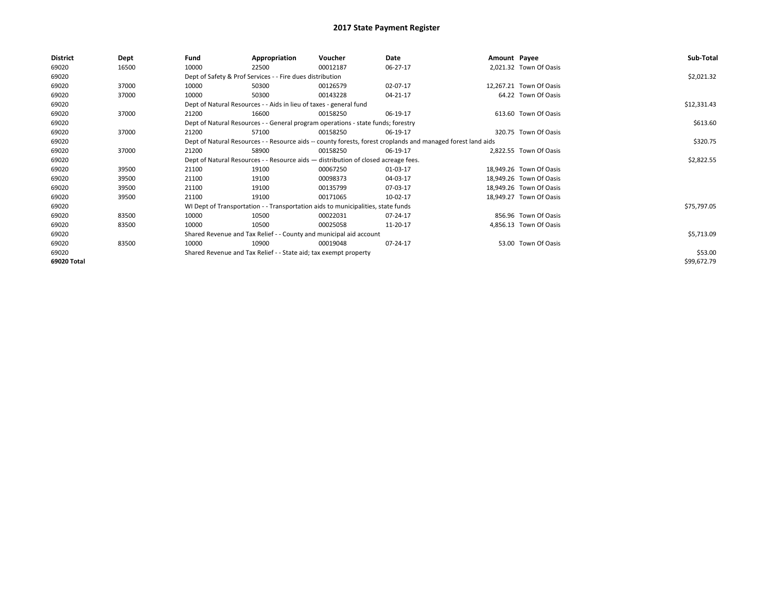| <b>District</b> | Dept  | Fund  | Appropriation                                                                                                | Voucher  | Date     | Amount Payee |                         | Sub-Total   |  |  |
|-----------------|-------|-------|--------------------------------------------------------------------------------------------------------------|----------|----------|--------------|-------------------------|-------------|--|--|
| 69020           | 16500 | 10000 | 22500                                                                                                        | 00012187 | 06-27-17 |              | 2,021.32 Town Of Oasis  |             |  |  |
| 69020           |       |       | Dept of Safety & Prof Services - - Fire dues distribution                                                    |          |          |              |                         | \$2,021.32  |  |  |
| 69020           | 37000 | 10000 | 50300                                                                                                        | 00126579 | 02-07-17 |              | 12,267.21 Town Of Oasis |             |  |  |
| 69020           | 37000 | 10000 | 50300                                                                                                        | 00143228 | 04-21-17 |              | 64.22 Town Of Oasis     |             |  |  |
| 69020           |       |       | Dept of Natural Resources - - Aids in lieu of taxes - general fund                                           |          |          |              |                         |             |  |  |
| 69020           | 37000 | 21200 | 16600                                                                                                        | 00158250 | 06-19-17 |              | 613.60 Town Of Oasis    |             |  |  |
| 69020           |       |       | Dept of Natural Resources - - General program operations - state funds; forestry                             |          |          |              |                         |             |  |  |
| 69020           | 37000 | 21200 | 57100                                                                                                        | 00158250 | 06-19-17 |              | 320.75 Town Of Oasis    |             |  |  |
| 69020           |       |       | Dept of Natural Resources - - Resource aids -- county forests, forest croplands and managed forest land aids |          |          |              |                         | \$320.75    |  |  |
| 69020           | 37000 | 21200 | 58900                                                                                                        | 00158250 | 06-19-17 |              | 2,822.55 Town Of Oasis  |             |  |  |
| 69020           |       |       | Dept of Natural Resources - - Resource aids - distribution of closed acreage fees.                           |          |          |              |                         | \$2,822.55  |  |  |
| 69020           | 39500 | 21100 | 19100                                                                                                        | 00067250 | 01-03-17 |              | 18,949.26 Town Of Oasis |             |  |  |
| 69020           | 39500 | 21100 | 19100                                                                                                        | 00098373 | 04-03-17 |              | 18,949.26 Town Of Oasis |             |  |  |
| 69020           | 39500 | 21100 | 19100                                                                                                        | 00135799 | 07-03-17 |              | 18,949.26 Town Of Oasis |             |  |  |
| 69020           | 39500 | 21100 | 19100                                                                                                        | 00171065 | 10-02-17 |              | 18,949.27 Town Of Oasis |             |  |  |
| 69020           |       |       | WI Dept of Transportation - - Transportation aids to municipalities, state funds                             |          |          |              |                         | \$75,797.05 |  |  |
| 69020           | 83500 | 10000 | 10500                                                                                                        | 00022031 | 07-24-17 |              | 856.96 Town Of Oasis    |             |  |  |
| 69020           | 83500 | 10000 | 10500                                                                                                        | 00025058 | 11-20-17 |              | 4,856.13 Town Of Oasis  |             |  |  |
| 69020           |       |       | Shared Revenue and Tax Relief - - County and municipal aid account                                           |          |          |              |                         | \$5,713.09  |  |  |
| 69020           | 83500 | 10000 | 10900                                                                                                        | 00019048 | 07-24-17 |              | 53.00 Town Of Oasis     |             |  |  |
| 69020           |       |       | Shared Revenue and Tax Relief - - State aid; tax exempt property                                             |          |          |              |                         | \$53.00     |  |  |
| 69020 Total     |       |       |                                                                                                              |          |          |              |                         | \$99,672.79 |  |  |
|                 |       |       |                                                                                                              |          |          |              |                         |             |  |  |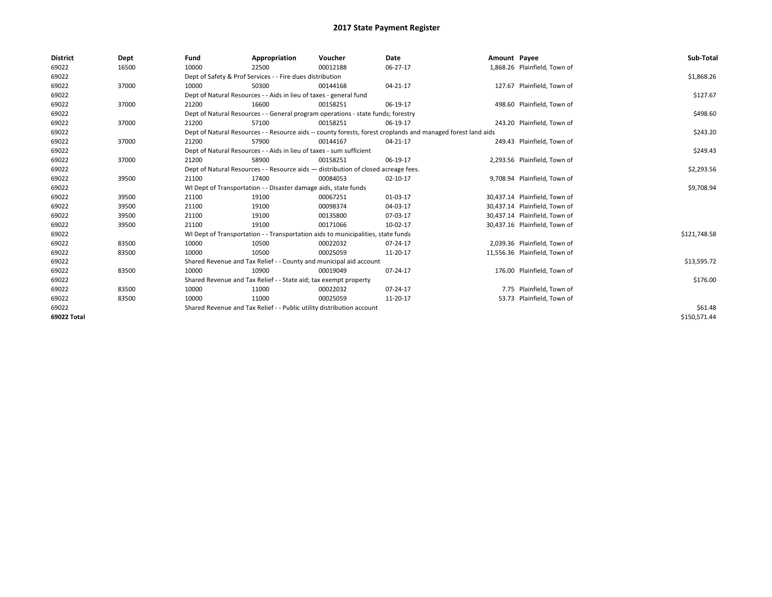| <b>District</b> | Dept  | Fund  | Appropriation                                                                                                | Voucher  | Date     | Amount Payee |                               | Sub-Total    |  |  |
|-----------------|-------|-------|--------------------------------------------------------------------------------------------------------------|----------|----------|--------------|-------------------------------|--------------|--|--|
| 69022           | 16500 | 10000 | 22500                                                                                                        | 00012188 | 06-27-17 |              | 1,868.26 Plainfield, Town of  |              |  |  |
| 69022           |       |       | Dept of Safety & Prof Services - - Fire dues distribution                                                    |          |          |              |                               | \$1,868.26   |  |  |
| 69022           | 37000 | 10000 | 50300                                                                                                        | 00144168 | 04-21-17 |              | 127.67 Plainfield, Town of    |              |  |  |
| 69022           |       |       | Dept of Natural Resources - - Aids in lieu of taxes - general fund                                           |          |          |              |                               | \$127.67     |  |  |
| 69022           | 37000 | 21200 | 16600                                                                                                        | 00158251 | 06-19-17 |              | 498.60 Plainfield, Town of    |              |  |  |
| 69022           |       |       | Dept of Natural Resources - - General program operations - state funds; forestry                             |          |          |              |                               | \$498.60     |  |  |
| 69022           | 37000 | 21200 | 57100                                                                                                        | 00158251 | 06-19-17 |              | 243.20 Plainfield, Town of    |              |  |  |
| 69022           |       |       | Dept of Natural Resources - - Resource aids -- county forests, forest croplands and managed forest land aids |          |          |              |                               |              |  |  |
| 69022           | 37000 | 21200 | 57900                                                                                                        | 00144167 | 04-21-17 |              | 249.43 Plainfield, Town of    |              |  |  |
| 69022           |       |       | Dept of Natural Resources - - Aids in lieu of taxes - sum sufficient                                         |          |          |              |                               | \$249.43     |  |  |
| 69022           | 37000 | 21200 | 58900                                                                                                        | 00158251 | 06-19-17 |              | 2,293.56 Plainfield, Town of  |              |  |  |
| 69022           |       |       | Dept of Natural Resources - - Resource aids - distribution of closed acreage fees.                           |          |          |              |                               | \$2,293.56   |  |  |
| 69022           | 39500 | 21100 | 17400                                                                                                        | 00084053 | 02-10-17 |              | 9,708.94 Plainfield, Town of  |              |  |  |
| 69022           |       |       | WI Dept of Transportation - - Disaster damage aids, state funds                                              |          |          |              |                               | \$9,708.94   |  |  |
| 69022           | 39500 | 21100 | 19100                                                                                                        | 00067251 | 01-03-17 |              | 30,437.14 Plainfield, Town of |              |  |  |
| 69022           | 39500 | 21100 | 19100                                                                                                        | 00098374 | 04-03-17 |              | 30.437.14 Plainfield. Town of |              |  |  |
| 69022           | 39500 | 21100 | 19100                                                                                                        | 00135800 | 07-03-17 |              | 30,437.14 Plainfield, Town of |              |  |  |
| 69022           | 39500 | 21100 | 19100                                                                                                        | 00171066 | 10-02-17 |              | 30,437.16 Plainfield, Town of |              |  |  |
| 69022           |       |       | WI Dept of Transportation - - Transportation aids to municipalities, state funds                             |          |          |              |                               | \$121,748.58 |  |  |
| 69022           | 83500 | 10000 | 10500                                                                                                        | 00022032 | 07-24-17 |              | 2,039.36 Plainfield, Town of  |              |  |  |
| 69022           | 83500 | 10000 | 10500                                                                                                        | 00025059 | 11-20-17 |              | 11,556.36 Plainfield, Town of |              |  |  |
| 69022           |       |       | Shared Revenue and Tax Relief - - County and municipal aid account                                           |          |          |              |                               | \$13,595.72  |  |  |
| 69022           | 83500 | 10000 | 10900                                                                                                        | 00019049 | 07-24-17 |              | 176.00 Plainfield, Town of    |              |  |  |
| 69022           |       |       | Shared Revenue and Tax Relief - - State aid; tax exempt property                                             |          |          |              |                               | \$176.00     |  |  |
| 69022           | 83500 | 10000 | 11000                                                                                                        | 00022032 | 07-24-17 |              | 7.75 Plainfield, Town of      |              |  |  |
| 69022           | 83500 | 10000 | 11000                                                                                                        | 00025059 | 11-20-17 |              | 53.73 Plainfield, Town of     |              |  |  |
| 69022           |       |       | Shared Revenue and Tax Relief - - Public utility distribution account                                        |          |          |              |                               | \$61.48      |  |  |
| 69022 Total     |       |       |                                                                                                              |          |          |              |                               | \$150.571.44 |  |  |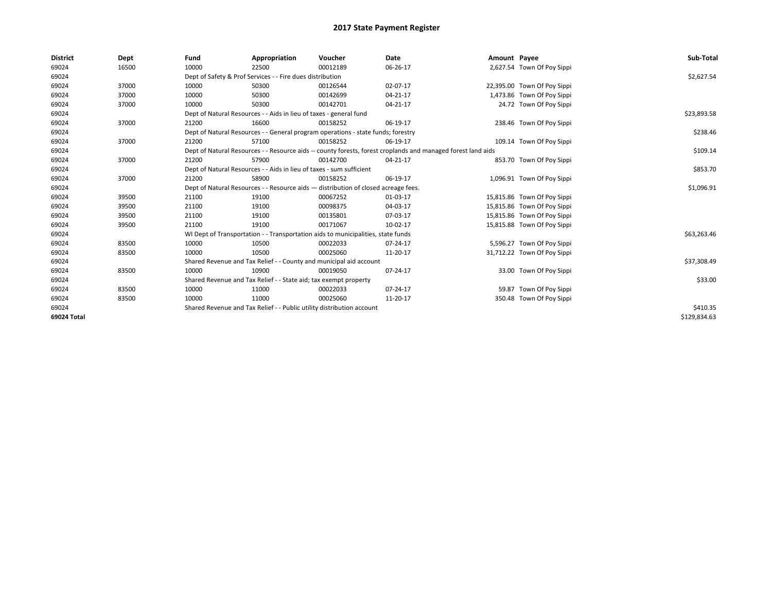| <b>District</b> | Dept  | Fund                                                                                                         | Appropriation                                                                      | Voucher     | Date     | Amount Payee |                             | Sub-Total    |
|-----------------|-------|--------------------------------------------------------------------------------------------------------------|------------------------------------------------------------------------------------|-------------|----------|--------------|-----------------------------|--------------|
| 69024           | 16500 | 10000                                                                                                        | 22500                                                                              | 00012189    | 06-26-17 |              | 2,627.54 Town Of Poy Sippi  |              |
| 69024           |       |                                                                                                              | Dept of Safety & Prof Services - - Fire dues distribution                          |             |          |              |                             | \$2,627.54   |
| 69024           | 37000 | 10000                                                                                                        | 50300                                                                              | 00126544    | 02-07-17 |              | 22,395.00 Town Of Poy Sippi |              |
| 69024           | 37000 | 10000                                                                                                        | 50300                                                                              | 00142699    | 04-21-17 |              | 1,473.86 Town Of Poy Sippi  |              |
| 69024           | 37000 | 10000                                                                                                        | 50300                                                                              | 00142701    | 04-21-17 |              | 24.72 Town Of Poy Sippi     |              |
| 69024           |       | Dept of Natural Resources - - Aids in lieu of taxes - general fund                                           |                                                                                    | \$23,893.58 |          |              |                             |              |
| 69024           | 37000 | 21200                                                                                                        | 16600                                                                              | 00158252    | 06-19-17 |              | 238.46 Town Of Poy Sippi    |              |
| 69024           |       |                                                                                                              | Dept of Natural Resources - - General program operations - state funds; forestry   |             |          |              |                             | \$238.46     |
| 69024           | 37000 | 21200                                                                                                        | 57100                                                                              | 00158252    | 06-19-17 |              | 109.14 Town Of Poy Sippi    |              |
| 69024           |       | Dept of Natural Resources - - Resource aids -- county forests, forest croplands and managed forest land aids |                                                                                    | \$109.14    |          |              |                             |              |
| 69024           | 37000 | 21200                                                                                                        | 57900                                                                              | 00142700    | 04-21-17 |              | 853.70 Town Of Poy Sippi    |              |
| 69024           |       |                                                                                                              | Dept of Natural Resources - - Aids in lieu of taxes - sum sufficient               |             |          |              |                             | \$853.70     |
| 69024           | 37000 | 21200                                                                                                        | 58900                                                                              | 00158252    | 06-19-17 |              | 1,096.91 Town Of Poy Sippi  |              |
| 69024           |       |                                                                                                              | Dept of Natural Resources - - Resource aids - distribution of closed acreage fees. |             |          |              |                             | \$1,096.91   |
| 69024           | 39500 | 21100                                                                                                        | 19100                                                                              | 00067252    | 01-03-17 |              | 15,815.86 Town Of Poy Sippi |              |
| 69024           | 39500 | 21100                                                                                                        | 19100                                                                              | 00098375    | 04-03-17 |              | 15,815.86 Town Of Poy Sippi |              |
| 69024           | 39500 | 21100                                                                                                        | 19100                                                                              | 00135801    | 07-03-17 |              | 15,815.86 Town Of Poy Sippi |              |
| 69024           | 39500 | 21100                                                                                                        | 19100                                                                              | 00171067    | 10-02-17 |              | 15,815.88 Town Of Poy Sippi |              |
| 69024           |       |                                                                                                              | WI Dept of Transportation - - Transportation aids to municipalities, state funds   |             |          |              |                             | \$63,263.46  |
| 69024           | 83500 | 10000                                                                                                        | 10500                                                                              | 00022033    | 07-24-17 |              | 5,596.27 Town Of Poy Sippi  |              |
| 69024           | 83500 | 10000                                                                                                        | 10500                                                                              | 00025060    | 11-20-17 |              | 31,712.22 Town Of Poy Sippi |              |
| 69024           |       |                                                                                                              | Shared Revenue and Tax Relief - - County and municipal aid account                 |             |          |              |                             | \$37,308.49  |
| 69024           | 83500 | 10000                                                                                                        | 10900                                                                              | 00019050    | 07-24-17 |              | 33.00 Town Of Poy Sippi     |              |
| 69024           |       |                                                                                                              | Shared Revenue and Tax Relief - - State aid; tax exempt property                   |             |          |              |                             | \$33.00      |
| 69024           | 83500 | 10000                                                                                                        | 11000                                                                              | 00022033    | 07-24-17 |              | 59.87 Town Of Poy Sippi     |              |
| 69024           | 83500 | 10000                                                                                                        | 11000                                                                              | 00025060    | 11-20-17 |              | 350.48 Town Of Poy Sippi    |              |
| 69024           |       |                                                                                                              | Shared Revenue and Tax Relief - - Public utility distribution account              |             |          |              |                             | \$410.35     |
| 69024 Total     |       |                                                                                                              |                                                                                    |             |          |              |                             | \$129,834.63 |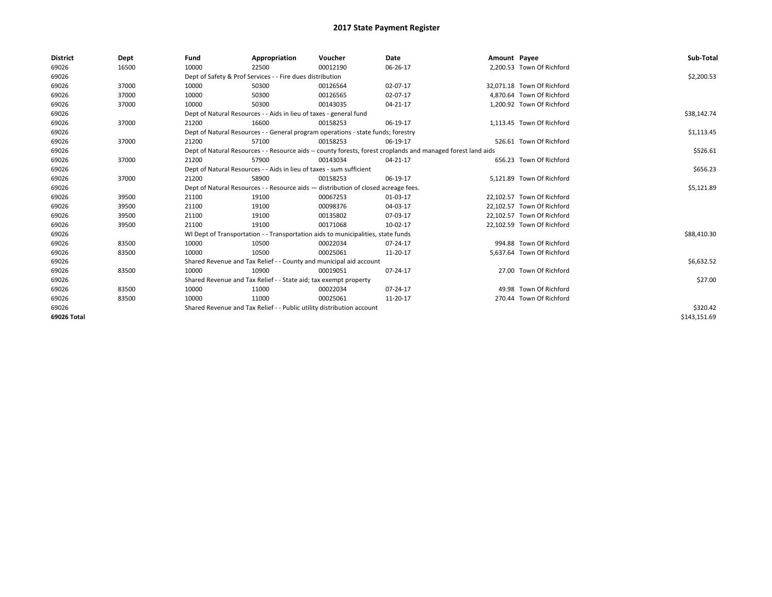| <b>District</b> | Dept  | Fund  | Appropriation                                                                                                | Voucher  | Date     | Amount Payee |                            | Sub-Total    |  |  |  |
|-----------------|-------|-------|--------------------------------------------------------------------------------------------------------------|----------|----------|--------------|----------------------------|--------------|--|--|--|
| 69026           | 16500 | 10000 | 22500                                                                                                        | 00012190 | 06-26-17 |              | 2,200.53 Town Of Richford  |              |  |  |  |
| 69026           |       |       | Dept of Safety & Prof Services - - Fire dues distribution                                                    |          |          |              |                            | \$2,200.53   |  |  |  |
| 69026           | 37000 | 10000 | 50300                                                                                                        | 00126564 | 02-07-17 |              | 32,071.18 Town Of Richford |              |  |  |  |
| 69026           | 37000 | 10000 | 50300                                                                                                        | 00126565 | 02-07-17 |              | 4,870.64 Town Of Richford  |              |  |  |  |
| 69026           | 37000 | 10000 | 50300                                                                                                        | 00143035 | 04-21-17 |              | 1,200.92 Town Of Richford  |              |  |  |  |
| 69026           |       |       | Dept of Natural Resources - - Aids in lieu of taxes - general fund                                           |          |          |              |                            |              |  |  |  |
| 69026           | 37000 | 21200 | 16600                                                                                                        | 00158253 | 06-19-17 |              | 1,113.45 Town Of Richford  |              |  |  |  |
| 69026           |       |       | Dept of Natural Resources - - General program operations - state funds; forestry                             |          |          |              |                            | \$1,113.45   |  |  |  |
| 69026           | 37000 | 21200 | 57100                                                                                                        | 00158253 | 06-19-17 |              | 526.61 Town Of Richford    |              |  |  |  |
| 69026           |       |       | Dept of Natural Resources - - Resource aids -- county forests, forest croplands and managed forest land aids |          |          |              |                            |              |  |  |  |
| 69026           | 37000 | 21200 | 57900                                                                                                        | 00143034 | 04-21-17 |              | 656.23 Town Of Richford    |              |  |  |  |
| 69026           |       |       | Dept of Natural Resources - - Aids in lieu of taxes - sum sufficient                                         |          |          |              |                            |              |  |  |  |
| 69026           | 37000 | 21200 | 58900                                                                                                        | 00158253 | 06-19-17 |              | 5,121.89 Town Of Richford  |              |  |  |  |
| 69026           |       |       | Dept of Natural Resources - - Resource aids - distribution of closed acreage fees.                           |          |          |              |                            | \$5,121.89   |  |  |  |
| 69026           | 39500 | 21100 | 19100                                                                                                        | 00067253 | 01-03-17 |              | 22,102.57 Town Of Richford |              |  |  |  |
| 69026           | 39500 | 21100 | 19100                                                                                                        | 00098376 | 04-03-17 |              | 22,102.57 Town Of Richford |              |  |  |  |
| 69026           | 39500 | 21100 | 19100                                                                                                        | 00135802 | 07-03-17 |              | 22,102.57 Town Of Richford |              |  |  |  |
| 69026           | 39500 | 21100 | 19100                                                                                                        | 00171068 | 10-02-17 |              | 22,102.59 Town Of Richford |              |  |  |  |
| 69026           |       |       | WI Dept of Transportation - - Transportation aids to municipalities, state funds                             |          |          |              |                            | \$88,410.30  |  |  |  |
| 69026           | 83500 | 10000 | 10500                                                                                                        | 00022034 | 07-24-17 |              | 994.88 Town Of Richford    |              |  |  |  |
| 69026           | 83500 | 10000 | 10500                                                                                                        | 00025061 | 11-20-17 |              | 5,637.64 Town Of Richford  |              |  |  |  |
| 69026           |       |       | Shared Revenue and Tax Relief - - County and municipal aid account                                           |          |          |              |                            | \$6,632.52   |  |  |  |
| 69026           | 83500 | 10000 | 10900                                                                                                        | 00019051 | 07-24-17 |              | 27.00 Town Of Richford     |              |  |  |  |
| 69026           |       |       | Shared Revenue and Tax Relief - - State aid; tax exempt property                                             |          |          |              |                            | \$27.00      |  |  |  |
| 69026           | 83500 | 10000 | 11000                                                                                                        | 00022034 | 07-24-17 |              | 49.98 Town Of Richford     |              |  |  |  |
| 69026           | 83500 | 10000 | 11000                                                                                                        | 00025061 | 11-20-17 |              | 270.44 Town Of Richford    |              |  |  |  |
| 69026           |       |       | Shared Revenue and Tax Relief - - Public utility distribution account                                        |          |          |              |                            | \$320.42     |  |  |  |
| 69026 Total     |       |       |                                                                                                              |          |          |              |                            | \$143.151.69 |  |  |  |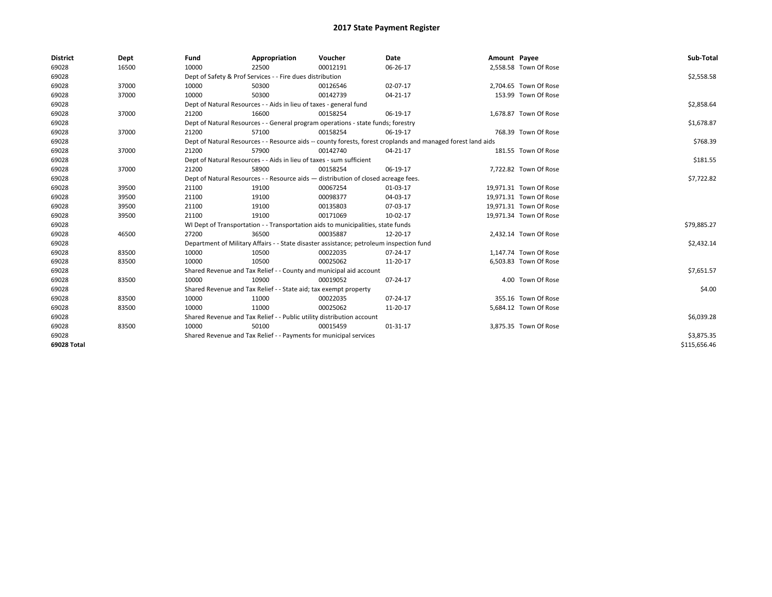| <b>District</b> | Dept  | Fund  | Appropriation                                                                           | Voucher  | Date                                                                                                         | Amount Payee |                        | Sub-Total    |
|-----------------|-------|-------|-----------------------------------------------------------------------------------------|----------|--------------------------------------------------------------------------------------------------------------|--------------|------------------------|--------------|
| 69028           | 16500 | 10000 | 22500                                                                                   | 00012191 | 06-26-17                                                                                                     |              | 2,558.58 Town Of Rose  |              |
| 69028           |       |       | Dept of Safety & Prof Services - - Fire dues distribution                               |          |                                                                                                              |              |                        | \$2,558.58   |
| 69028           | 37000 | 10000 | 50300                                                                                   | 00126546 | 02-07-17                                                                                                     |              | 2,704.65 Town Of Rose  |              |
| 69028           | 37000 | 10000 | 50300                                                                                   | 00142739 | $04 - 21 - 17$                                                                                               |              | 153.99 Town Of Rose    |              |
| 69028           |       |       | Dept of Natural Resources - - Aids in lieu of taxes - general fund                      |          |                                                                                                              |              |                        | \$2,858.64   |
| 69028           | 37000 | 21200 | 16600                                                                                   | 00158254 | 06-19-17                                                                                                     |              | 1,678.87 Town Of Rose  |              |
| 69028           |       |       | Dept of Natural Resources - - General program operations - state funds; forestry        |          |                                                                                                              |              |                        | \$1,678.87   |
| 69028           | 37000 | 21200 | 57100                                                                                   | 00158254 | 06-19-17                                                                                                     |              | 768.39 Town Of Rose    |              |
| 69028           |       |       |                                                                                         |          | Dept of Natural Resources - - Resource aids -- county forests, forest croplands and managed forest land aids |              |                        | \$768.39     |
| 69028           | 37000 | 21200 | 57900                                                                                   | 00142740 | 04-21-17                                                                                                     |              | 181.55 Town Of Rose    |              |
| 69028           |       |       | Dept of Natural Resources - - Aids in lieu of taxes - sum sufficient                    |          |                                                                                                              |              |                        | \$181.55     |
| 69028           | 37000 | 21200 | 58900                                                                                   | 00158254 | 06-19-17                                                                                                     |              | 7,722.82 Town Of Rose  |              |
| 69028           |       |       | Dept of Natural Resources - - Resource aids - distribution of closed acreage fees.      |          |                                                                                                              |              |                        | \$7,722.82   |
| 69028           | 39500 | 21100 | 19100                                                                                   | 00067254 | 01-03-17                                                                                                     |              | 19,971.31 Town Of Rose |              |
| 69028           | 39500 | 21100 | 19100                                                                                   | 00098377 | 04-03-17                                                                                                     |              | 19,971.31 Town Of Rose |              |
| 69028           | 39500 | 21100 | 19100                                                                                   | 00135803 | 07-03-17                                                                                                     |              | 19,971.31 Town Of Rose |              |
| 69028           | 39500 | 21100 | 19100                                                                                   | 00171069 | 10-02-17                                                                                                     |              | 19,971.34 Town Of Rose |              |
| 69028           |       |       | WI Dept of Transportation - - Transportation aids to municipalities, state funds        |          |                                                                                                              |              |                        | \$79,885.27  |
| 69028           | 46500 | 27200 | 36500                                                                                   | 00035887 | 12-20-17                                                                                                     |              | 2,432.14 Town Of Rose  |              |
| 69028           |       |       | Department of Military Affairs - - State disaster assistance; petroleum inspection fund |          |                                                                                                              |              |                        | \$2,432.14   |
| 69028           | 83500 | 10000 | 10500                                                                                   | 00022035 | $07 - 24 - 17$                                                                                               |              | 1,147.74 Town Of Rose  |              |
| 69028           | 83500 | 10000 | 10500                                                                                   | 00025062 | 11-20-17                                                                                                     |              | 6,503.83 Town Of Rose  |              |
| 69028           |       |       | Shared Revenue and Tax Relief - - County and municipal aid account                      |          |                                                                                                              |              |                        | \$7,651.57   |
| 69028           | 83500 | 10000 | 10900                                                                                   | 00019052 | 07-24-17                                                                                                     |              | 4.00 Town Of Rose      |              |
| 69028           |       |       | Shared Revenue and Tax Relief - - State aid; tax exempt property                        |          |                                                                                                              |              |                        | \$4.00       |
| 69028           | 83500 | 10000 | 11000                                                                                   | 00022035 | 07-24-17                                                                                                     |              | 355.16 Town Of Rose    |              |
| 69028           | 83500 | 10000 | 11000                                                                                   | 00025062 | 11-20-17                                                                                                     |              | 5,684.12 Town Of Rose  |              |
| 69028           |       |       | Shared Revenue and Tax Relief - - Public utility distribution account                   |          |                                                                                                              |              |                        | \$6,039.28   |
| 69028           | 83500 | 10000 | 50100                                                                                   | 00015459 | 01-31-17                                                                                                     |              | 3,875.35 Town Of Rose  |              |
| 69028           |       |       | Shared Revenue and Tax Relief - - Payments for municipal services                       |          |                                                                                                              |              |                        | \$3,875.35   |
| 69028 Total     |       |       |                                                                                         |          |                                                                                                              |              |                        | \$115,656.46 |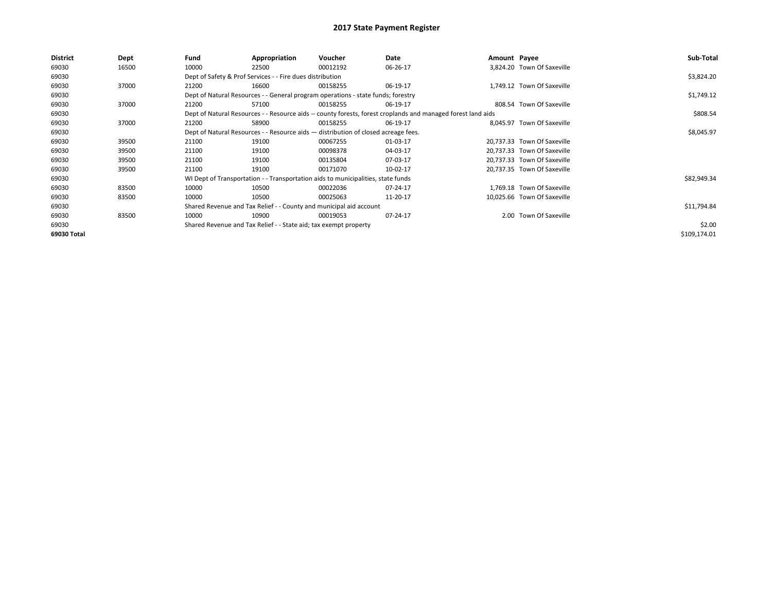| District    | Dept  | Fund  | Appropriation                                                                                                | Voucher  | Date     | Amount Payee |                             | Sub-Total    |  |  |  |
|-------------|-------|-------|--------------------------------------------------------------------------------------------------------------|----------|----------|--------------|-----------------------------|--------------|--|--|--|
| 69030       | 16500 | 10000 | 22500                                                                                                        | 00012192 | 06-26-17 |              | 3.824.20 Town Of Saxeville  |              |  |  |  |
| 69030       |       |       | Dept of Safety & Prof Services - - Fire dues distribution                                                    |          |          |              |                             | \$3,824.20   |  |  |  |
| 69030       | 37000 | 21200 | 16600                                                                                                        | 00158255 | 06-19-17 |              | 1,749.12 Town Of Saxeville  |              |  |  |  |
| 69030       |       |       | Dept of Natural Resources - - General program operations - state funds; forestry                             |          |          |              |                             | \$1,749.12   |  |  |  |
| 69030       | 37000 | 21200 | 57100                                                                                                        | 00158255 | 06-19-17 |              | 808.54 Town Of Saxeville    |              |  |  |  |
| 69030       |       |       | Dept of Natural Resources - - Resource aids -- county forests, forest croplands and managed forest land aids |          |          |              |                             |              |  |  |  |
| 69030       | 37000 | 21200 | 58900                                                                                                        | 00158255 | 06-19-17 |              | 8,045.97 Town Of Saxeville  |              |  |  |  |
| 69030       |       |       | Dept of Natural Resources - - Resource aids - distribution of closed acreage fees.                           |          |          |              |                             | \$8,045.97   |  |  |  |
| 69030       | 39500 | 21100 | 19100                                                                                                        | 00067255 | 01-03-17 |              | 20.737.33 Town Of Saxeville |              |  |  |  |
| 69030       | 39500 | 21100 | 19100                                                                                                        | 00098378 | 04-03-17 |              | 20,737.33 Town Of Saxeville |              |  |  |  |
| 69030       | 39500 | 21100 | 19100                                                                                                        | 00135804 | 07-03-17 |              | 20,737.33 Town Of Saxeville |              |  |  |  |
| 69030       | 39500 | 21100 | 19100                                                                                                        | 00171070 | 10-02-17 |              | 20,737.35 Town Of Saxeville |              |  |  |  |
| 69030       |       |       | WI Dept of Transportation - - Transportation aids to municipalities, state funds                             |          |          |              |                             | \$82,949.34  |  |  |  |
| 69030       | 83500 | 10000 | 10500                                                                                                        | 00022036 | 07-24-17 |              | 1.769.18 Town Of Saxeville  |              |  |  |  |
| 69030       | 83500 | 10000 | 10500                                                                                                        | 00025063 | 11-20-17 |              | 10,025.66 Town Of Saxeville |              |  |  |  |
| 69030       |       |       | Shared Revenue and Tax Relief - - County and municipal aid account                                           |          |          |              |                             | \$11,794.84  |  |  |  |
| 69030       | 83500 | 10000 | 10900                                                                                                        | 00019053 | 07-24-17 |              | 2.00 Town Of Saxeville      |              |  |  |  |
| 69030       |       |       | Shared Revenue and Tax Relief - - State aid; tax exempt property                                             |          |          |              |                             | \$2.00       |  |  |  |
| 69030 Total |       |       |                                                                                                              |          |          |              |                             | \$109,174.01 |  |  |  |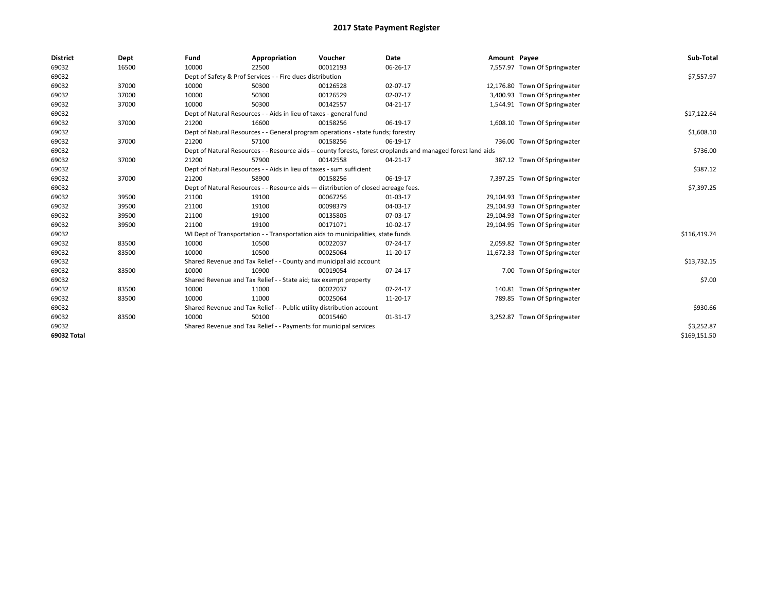| <b>District</b> | Dept  | Fund  | Appropriation                                                                      | Voucher  | Date                                                                                                         | Amount Payee |                               | Sub-Total    |  |  |  |
|-----------------|-------|-------|------------------------------------------------------------------------------------|----------|--------------------------------------------------------------------------------------------------------------|--------------|-------------------------------|--------------|--|--|--|
| 69032           | 16500 | 10000 | 22500                                                                              | 00012193 | 06-26-17                                                                                                     |              | 7,557.97 Town Of Springwater  |              |  |  |  |
| 69032           |       |       | Dept of Safety & Prof Services - - Fire dues distribution                          |          |                                                                                                              |              |                               | \$7,557.97   |  |  |  |
| 69032           | 37000 | 10000 | 50300                                                                              | 00126528 | 02-07-17                                                                                                     |              | 12,176.80 Town Of Springwater |              |  |  |  |
| 69032           | 37000 | 10000 | 50300                                                                              | 00126529 | 02-07-17                                                                                                     |              | 3,400.93 Town Of Springwater  |              |  |  |  |
| 69032           | 37000 | 10000 | 50300                                                                              | 00142557 | 04-21-17                                                                                                     |              | 1,544.91 Town Of Springwater  |              |  |  |  |
| 69032           |       |       | Dept of Natural Resources - - Aids in lieu of taxes - general fund                 |          |                                                                                                              |              |                               | \$17,122.64  |  |  |  |
| 69032           | 37000 | 21200 | 16600                                                                              | 00158256 | 06-19-17                                                                                                     |              | 1,608.10 Town Of Springwater  |              |  |  |  |
| 69032           |       |       | Dept of Natural Resources - - General program operations - state funds; forestry   |          |                                                                                                              |              |                               | \$1,608.10   |  |  |  |
| 69032           | 37000 | 21200 | 57100                                                                              | 00158256 | 06-19-17                                                                                                     |              | 736.00 Town Of Springwater    |              |  |  |  |
| 69032           |       |       |                                                                                    |          | Dept of Natural Resources - - Resource aids -- county forests, forest croplands and managed forest land aids |              |                               | \$736.00     |  |  |  |
| 69032           | 37000 | 21200 | 57900                                                                              | 00142558 | $04 - 21 - 17$                                                                                               |              | 387.12 Town Of Springwater    |              |  |  |  |
| 69032           |       |       | Dept of Natural Resources - - Aids in lieu of taxes - sum sufficient               |          |                                                                                                              |              |                               | \$387.12     |  |  |  |
| 69032           | 37000 | 21200 | 58900                                                                              | 00158256 | 06-19-17                                                                                                     |              | 7,397.25 Town Of Springwater  |              |  |  |  |
| 69032           |       |       | Dept of Natural Resources - - Resource aids - distribution of closed acreage fees. |          |                                                                                                              |              |                               |              |  |  |  |
| 69032           | 39500 | 21100 | 19100                                                                              | 00067256 | 01-03-17                                                                                                     |              | 29,104.93 Town Of Springwater |              |  |  |  |
| 69032           | 39500 | 21100 | 19100                                                                              | 00098379 | 04-03-17                                                                                                     |              | 29,104.93 Town Of Springwater |              |  |  |  |
| 69032           | 39500 | 21100 | 19100                                                                              | 00135805 | 07-03-17                                                                                                     |              | 29,104.93 Town Of Springwater |              |  |  |  |
| 69032           | 39500 | 21100 | 19100                                                                              | 00171071 | 10-02-17                                                                                                     |              | 29,104.95 Town Of Springwater |              |  |  |  |
| 69032           |       |       | WI Dept of Transportation - - Transportation aids to municipalities, state funds   |          |                                                                                                              |              |                               | \$116,419.74 |  |  |  |
| 69032           | 83500 | 10000 | 10500                                                                              | 00022037 | 07-24-17                                                                                                     |              | 2,059.82 Town Of Springwater  |              |  |  |  |
| 69032           | 83500 | 10000 | 10500                                                                              | 00025064 | 11-20-17                                                                                                     |              | 11,672.33 Town Of Springwater |              |  |  |  |
| 69032           |       |       | Shared Revenue and Tax Relief - - County and municipal aid account                 |          |                                                                                                              |              |                               | \$13,732.15  |  |  |  |
| 69032           | 83500 | 10000 | 10900                                                                              | 00019054 | 07-24-17                                                                                                     |              | 7.00 Town Of Springwater      |              |  |  |  |
| 69032           |       |       | Shared Revenue and Tax Relief - - State aid; tax exempt property                   |          |                                                                                                              |              |                               | \$7.00       |  |  |  |
| 69032           | 83500 | 10000 | 11000                                                                              | 00022037 | $07 - 24 - 17$                                                                                               |              | 140.81 Town Of Springwater    |              |  |  |  |
| 69032           | 83500 | 10000 | 11000                                                                              | 00025064 | 11-20-17                                                                                                     |              | 789.85 Town Of Springwater    |              |  |  |  |
| 69032           |       |       | Shared Revenue and Tax Relief - - Public utility distribution account              |          |                                                                                                              |              |                               | \$930.66     |  |  |  |
| 69032           | 83500 | 10000 | 50100                                                                              | 00015460 | 01-31-17                                                                                                     |              | 3,252.87 Town Of Springwater  |              |  |  |  |
| 69032           |       |       | Shared Revenue and Tax Relief - - Payments for municipal services                  |          |                                                                                                              |              |                               | \$3,252.87   |  |  |  |
| 69032 Total     |       |       |                                                                                    |          |                                                                                                              |              |                               | \$169,151.50 |  |  |  |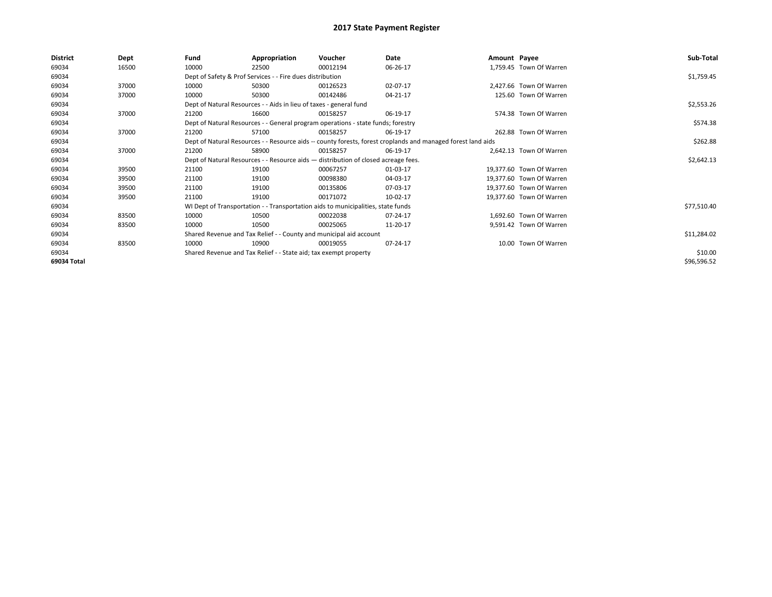| <b>District</b> | Dept  | Fund                                                                             | Appropriation                                                                      | Voucher    | Date                                                                                                         | Amount Payee |                          | Sub-Total   |
|-----------------|-------|----------------------------------------------------------------------------------|------------------------------------------------------------------------------------|------------|--------------------------------------------------------------------------------------------------------------|--------------|--------------------------|-------------|
| 69034           | 16500 | 10000                                                                            | 22500                                                                              | 00012194   | 06-26-17                                                                                                     |              | 1,759.45 Town Of Warren  |             |
| 69034           |       |                                                                                  | Dept of Safety & Prof Services - - Fire dues distribution                          |            |                                                                                                              |              |                          | \$1,759.45  |
| 69034           | 37000 | 10000                                                                            | 50300                                                                              | 00126523   | 02-07-17                                                                                                     |              | 2,427.66 Town Of Warren  |             |
| 69034           | 37000 | 10000                                                                            | 50300                                                                              | 00142486   | 04-21-17                                                                                                     |              | 125.60 Town Of Warren    |             |
| 69034           |       | Dept of Natural Resources - - Aids in lieu of taxes - general fund               |                                                                                    | \$2,553.26 |                                                                                                              |              |                          |             |
| 69034           | 37000 | 21200                                                                            | 16600                                                                              | 00158257   | 06-19-17                                                                                                     |              | 574.38 Town Of Warren    |             |
| 69034           |       | Dept of Natural Resources - - General program operations - state funds; forestry |                                                                                    | \$574.38   |                                                                                                              |              |                          |             |
| 69034           | 37000 | 21200                                                                            | 57100                                                                              | 00158257   | 06-19-17                                                                                                     |              | 262.88 Town Of Warren    |             |
| 69034           |       |                                                                                  |                                                                                    |            | Dept of Natural Resources - - Resource aids -- county forests, forest croplands and managed forest land aids |              |                          | \$262.88    |
| 69034           | 37000 | 21200                                                                            | 58900                                                                              | 00158257   | 06-19-17                                                                                                     |              | 2,642.13 Town Of Warren  |             |
| 69034           |       |                                                                                  | Dept of Natural Resources - - Resource aids - distribution of closed acreage fees. |            |                                                                                                              |              |                          | \$2,642.13  |
| 69034           | 39500 | 21100                                                                            | 19100                                                                              | 00067257   | 01-03-17                                                                                                     |              | 19,377.60 Town Of Warren |             |
| 69034           | 39500 | 21100                                                                            | 19100                                                                              | 00098380   | 04-03-17                                                                                                     |              | 19,377.60 Town Of Warren |             |
| 69034           | 39500 | 21100                                                                            | 19100                                                                              | 00135806   | 07-03-17                                                                                                     |              | 19,377.60 Town Of Warren |             |
| 69034           | 39500 | 21100                                                                            | 19100                                                                              | 00171072   | 10-02-17                                                                                                     |              | 19,377.60 Town Of Warren |             |
| 69034           |       |                                                                                  | WI Dept of Transportation - - Transportation aids to municipalities, state funds   |            |                                                                                                              |              |                          | \$77,510.40 |
| 69034           | 83500 | 10000                                                                            | 10500                                                                              | 00022038   | 07-24-17                                                                                                     |              | 1,692.60 Town Of Warren  |             |
| 69034           | 83500 | 10000                                                                            | 10500                                                                              | 00025065   | 11-20-17                                                                                                     |              | 9,591.42 Town Of Warren  |             |
| 69034           |       |                                                                                  | Shared Revenue and Tax Relief - - County and municipal aid account                 |            |                                                                                                              |              |                          | \$11,284.02 |
| 69034           | 83500 | 10000                                                                            | 10900                                                                              | 00019055   | 07-24-17                                                                                                     |              | 10.00 Town Of Warren     |             |
| 69034           |       |                                                                                  | Shared Revenue and Tax Relief - - State aid; tax exempt property                   |            |                                                                                                              |              |                          | \$10.00     |
| 69034 Total     |       |                                                                                  |                                                                                    |            |                                                                                                              |              |                          | \$96,596.52 |
|                 |       |                                                                                  |                                                                                    |            |                                                                                                              |              |                          |             |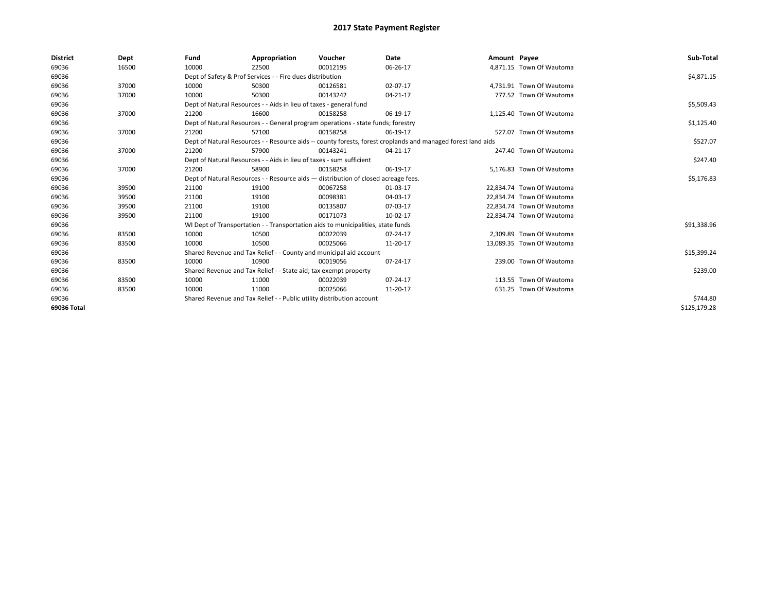| <b>District</b> | Dept  | Fund                                                                                                         | Appropriation                                                                    | Voucher    | Date     | Amount Payee |                           | Sub-Total    |
|-----------------|-------|--------------------------------------------------------------------------------------------------------------|----------------------------------------------------------------------------------|------------|----------|--------------|---------------------------|--------------|
| 69036           | 16500 | 10000                                                                                                        | 22500                                                                            | 00012195   | 06-26-17 |              | 4.871.15 Town Of Wautoma  |              |
| 69036           |       |                                                                                                              | Dept of Safety & Prof Services - - Fire dues distribution                        |            |          |              |                           | \$4,871.15   |
| 69036           | 37000 | 10000                                                                                                        | 50300                                                                            | 00126581   | 02-07-17 |              | 4,731.91 Town Of Wautoma  |              |
| 69036           | 37000 | 10000                                                                                                        | 50300                                                                            | 00143242   | 04-21-17 |              | 777.52 Town Of Wautoma    |              |
| 69036           |       |                                                                                                              | Dept of Natural Resources - - Aids in lieu of taxes - general fund               |            |          |              |                           | \$5,509.43   |
| 69036           | 37000 | 21200                                                                                                        | 16600                                                                            | 00158258   | 06-19-17 |              | 1.125.40 Town Of Wautoma  |              |
| 69036           |       | Dept of Natural Resources - - General program operations - state funds; forestry                             |                                                                                  | \$1,125.40 |          |              |                           |              |
| 69036           | 37000 | 21200                                                                                                        | 57100                                                                            | 00158258   | 06-19-17 |              | 527.07 Town Of Wautoma    |              |
| 69036           |       | Dept of Natural Resources - - Resource aids -- county forests, forest croplands and managed forest land aids |                                                                                  | \$527.07   |          |              |                           |              |
| 69036           | 37000 | 21200                                                                                                        | 57900                                                                            | 00143241   | 04-21-17 |              | 247.40 Town Of Wautoma    |              |
| 69036           |       | Dept of Natural Resources - - Aids in lieu of taxes - sum sufficient                                         |                                                                                  | \$247.40   |          |              |                           |              |
| 69036           | 37000 | 21200                                                                                                        | 58900                                                                            | 00158258   | 06-19-17 |              | 5.176.83 Town Of Wautoma  |              |
| 69036           |       | Dept of Natural Resources - - Resource aids - distribution of closed acreage fees.                           |                                                                                  | \$5,176.83 |          |              |                           |              |
| 69036           | 39500 | 21100                                                                                                        | 19100                                                                            | 00067258   | 01-03-17 |              | 22,834.74 Town Of Wautoma |              |
| 69036           | 39500 | 21100                                                                                                        | 19100                                                                            | 00098381   | 04-03-17 |              | 22,834.74 Town Of Wautoma |              |
| 69036           | 39500 | 21100                                                                                                        | 19100                                                                            | 00135807   | 07-03-17 |              | 22,834.74 Town Of Wautoma |              |
| 69036           | 39500 | 21100                                                                                                        | 19100                                                                            | 00171073   | 10-02-17 |              | 22,834.74 Town Of Wautoma |              |
| 69036           |       |                                                                                                              | WI Dept of Transportation - - Transportation aids to municipalities, state funds |            |          |              |                           | \$91,338.96  |
| 69036           | 83500 | 10000                                                                                                        | 10500                                                                            | 00022039   | 07-24-17 |              | 2.309.89 Town Of Wautoma  |              |
| 69036           | 83500 | 10000                                                                                                        | 10500                                                                            | 00025066   | 11-20-17 |              | 13,089.35 Town Of Wautoma |              |
| 69036           |       |                                                                                                              | Shared Revenue and Tax Relief - - County and municipal aid account               |            |          |              |                           | \$15,399.24  |
| 69036           | 83500 | 10000                                                                                                        | 10900                                                                            | 00019056   | 07-24-17 |              | 239.00 Town Of Wautoma    |              |
| 69036           |       |                                                                                                              | Shared Revenue and Tax Relief - - State aid; tax exempt property                 |            |          |              |                           | \$239.00     |
| 69036           | 83500 | 10000                                                                                                        | 11000                                                                            | 00022039   | 07-24-17 |              | 113.55 Town Of Wautoma    |              |
| 69036           | 83500 | 10000                                                                                                        | 11000                                                                            | 00025066   | 11-20-17 |              | 631.25 Town Of Wautoma    |              |
| 69036           |       | Shared Revenue and Tax Relief - - Public utility distribution account                                        |                                                                                  | \$744.80   |          |              |                           |              |
| 69036 Total     |       |                                                                                                              |                                                                                  |            |          |              |                           | \$125,179.28 |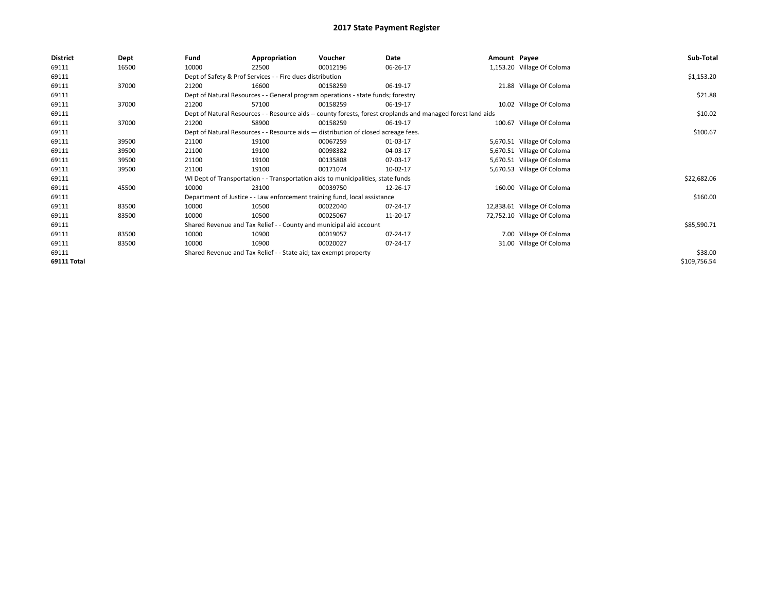| <b>District</b>    | Dept  | Fund                                                                                                         | Appropriation                                                                      | Voucher  | Date     | Amount Payee |                             | Sub-Total    |
|--------------------|-------|--------------------------------------------------------------------------------------------------------------|------------------------------------------------------------------------------------|----------|----------|--------------|-----------------------------|--------------|
| 69111              | 16500 | 10000                                                                                                        | 22500                                                                              | 00012196 | 06-26-17 |              | 1,153.20 Village Of Coloma  |              |
| 69111              |       |                                                                                                              | Dept of Safety & Prof Services - - Fire dues distribution                          |          |          |              |                             | \$1,153.20   |
| 69111              | 37000 | 21200                                                                                                        | 16600                                                                              | 00158259 | 06-19-17 |              | 21.88 Village Of Coloma     |              |
| 69111              |       |                                                                                                              | Dept of Natural Resources - - General program operations - state funds; forestry   |          |          |              |                             | \$21.88      |
| 69111              | 37000 | 21200                                                                                                        | 57100                                                                              | 00158259 | 06-19-17 |              | 10.02 Village Of Coloma     |              |
| 69111              |       | Dept of Natural Resources - - Resource aids -- county forests, forest croplands and managed forest land aids |                                                                                    | \$10.02  |          |              |                             |              |
| 69111              | 37000 | 21200                                                                                                        | 58900                                                                              | 00158259 | 06-19-17 |              | 100.67 Village Of Coloma    |              |
| 69111              |       |                                                                                                              | Dept of Natural Resources - - Resource aids - distribution of closed acreage fees. |          |          |              |                             | \$100.67     |
| 69111              | 39500 | 21100                                                                                                        | 19100                                                                              | 00067259 | 01-03-17 |              | 5,670.51 Village Of Coloma  |              |
| 69111              | 39500 | 21100                                                                                                        | 19100                                                                              | 00098382 | 04-03-17 |              | 5,670.51 Village Of Coloma  |              |
| 69111              | 39500 | 21100                                                                                                        | 19100                                                                              | 00135808 | 07-03-17 |              | 5,670.51 Village Of Coloma  |              |
| 69111              | 39500 | 21100                                                                                                        | 19100                                                                              | 00171074 | 10-02-17 |              | 5,670.53 Village Of Coloma  |              |
| 69111              |       |                                                                                                              | WI Dept of Transportation - - Transportation aids to municipalities, state funds   |          |          |              |                             | \$22,682.06  |
| 69111              | 45500 | 10000                                                                                                        | 23100                                                                              | 00039750 | 12-26-17 |              | 160.00 Village Of Coloma    |              |
| 69111              |       |                                                                                                              | Department of Justice - - Law enforcement training fund, local assistance          |          |          |              |                             | \$160.00     |
| 69111              | 83500 | 10000                                                                                                        | 10500                                                                              | 00022040 | 07-24-17 |              | 12,838.61 Village Of Coloma |              |
| 69111              | 83500 | 10000                                                                                                        | 10500                                                                              | 00025067 | 11-20-17 |              | 72,752.10 Village Of Coloma |              |
| 69111              |       |                                                                                                              | Shared Revenue and Tax Relief - - County and municipal aid account                 |          |          |              |                             | \$85,590.71  |
| 69111              | 83500 | 10000                                                                                                        | 10900                                                                              | 00019057 | 07-24-17 |              | 7.00 Village Of Coloma      |              |
| 69111              | 83500 | 10000                                                                                                        | 10900                                                                              | 00020027 | 07-24-17 |              | 31.00 Village Of Coloma     |              |
| 69111              |       |                                                                                                              | Shared Revenue and Tax Relief - - State aid; tax exempt property                   |          |          |              |                             | \$38.00      |
| <b>69111 Total</b> |       |                                                                                                              |                                                                                    |          |          |              |                             | \$109,756.54 |
|                    |       |                                                                                                              |                                                                                    |          |          |              |                             |              |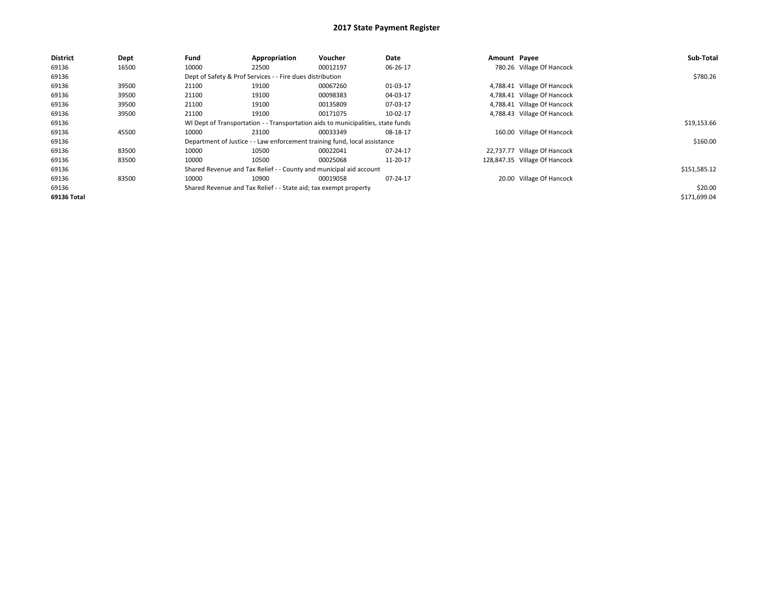| <b>District</b> | Dept  | Fund  | Appropriation                                                                    | Voucher  | Date     | Amount Payee |                               | Sub-Total    |
|-----------------|-------|-------|----------------------------------------------------------------------------------|----------|----------|--------------|-------------------------------|--------------|
| 69136           | 16500 | 10000 | 22500                                                                            | 00012197 | 06-26-17 |              | 780.26 Village Of Hancock     |              |
| 69136           |       |       | Dept of Safety & Prof Services - - Fire dues distribution                        |          |          |              |                               | \$780.26     |
| 69136           | 39500 | 21100 | 19100                                                                            | 00067260 | 01-03-17 |              | 4,788.41 Village Of Hancock   |              |
| 69136           | 39500 | 21100 | 19100                                                                            | 00098383 | 04-03-17 |              | 4,788.41 Village Of Hancock   |              |
| 69136           | 39500 | 21100 | 19100                                                                            | 00135809 | 07-03-17 |              | 4,788.41 Village Of Hancock   |              |
| 69136           | 39500 | 21100 | 19100                                                                            | 00171075 | 10-02-17 |              | 4,788.43 Village Of Hancock   |              |
| 69136           |       |       | WI Dept of Transportation - - Transportation aids to municipalities, state funds |          |          |              |                               | \$19,153.66  |
| 69136           | 45500 | 10000 | 23100                                                                            | 00033349 | 08-18-17 |              | 160.00 Village Of Hancock     |              |
| 69136           |       |       | Department of Justice - - Law enforcement training fund, local assistance        |          |          |              |                               | \$160.00     |
| 69136           | 83500 | 10000 | 10500                                                                            | 00022041 | 07-24-17 |              | 22,737.77 Village Of Hancock  |              |
| 69136           | 83500 | 10000 | 10500                                                                            | 00025068 | 11-20-17 |              | 128,847.35 Village Of Hancock |              |
| 69136           |       |       | Shared Revenue and Tax Relief - - County and municipal aid account               |          |          |              |                               | \$151,585.12 |
| 69136           | 83500 | 10000 | 10900                                                                            | 00019058 | 07-24-17 |              | 20.00 Village Of Hancock      |              |
| 69136           |       |       | Shared Revenue and Tax Relief - - State aid; tax exempt property                 |          |          |              |                               | \$20.00      |
| 69136 Total     |       |       |                                                                                  |          |          |              |                               | \$171,699.04 |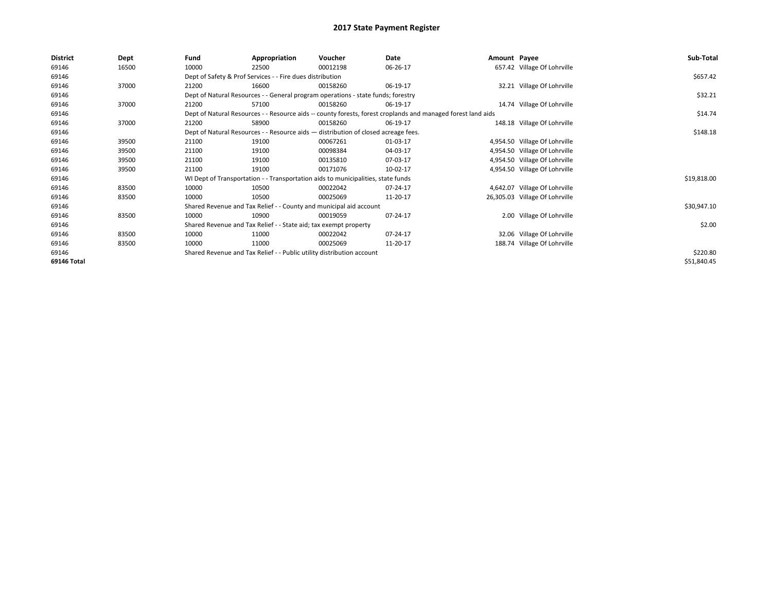| <b>District</b> | Dept  | Fund                                                             | Appropriation                                                                      | Voucher  | Date                                                                                                         | Amount Payee |                                | Sub-Total   |
|-----------------|-------|------------------------------------------------------------------|------------------------------------------------------------------------------------|----------|--------------------------------------------------------------------------------------------------------------|--------------|--------------------------------|-------------|
| 69146           | 16500 | 10000                                                            | 22500                                                                              | 00012198 | 06-26-17                                                                                                     |              | 657.42 Village Of Lohrville    |             |
| 69146           |       | Dept of Safety & Prof Services - - Fire dues distribution        |                                                                                    | \$657.42 |                                                                                                              |              |                                |             |
| 69146           | 37000 | 21200                                                            | 16600                                                                              | 00158260 | 06-19-17                                                                                                     |              | 32.21 Village Of Lohrville     |             |
| 69146           |       |                                                                  | Dept of Natural Resources - - General program operations - state funds; forestry   |          |                                                                                                              |              |                                | \$32.21     |
| 69146           | 37000 | 21200                                                            | 57100                                                                              | 00158260 | 06-19-17                                                                                                     |              | 14.74 Village Of Lohrville     |             |
| 69146           |       |                                                                  |                                                                                    |          | Dept of Natural Resources - - Resource aids -- county forests, forest croplands and managed forest land aids |              |                                | \$14.74     |
| 69146           | 37000 | 21200                                                            | 58900                                                                              | 00158260 | 06-19-17                                                                                                     |              | 148.18 Village Of Lohrville    |             |
| 69146           |       |                                                                  | Dept of Natural Resources - - Resource aids - distribution of closed acreage fees. |          |                                                                                                              |              |                                | \$148.18    |
| 69146           | 39500 | 21100                                                            | 19100                                                                              | 00067261 | 01-03-17                                                                                                     |              | 4,954.50 Village Of Lohrville  |             |
| 69146           | 39500 | 21100                                                            | 19100                                                                              | 00098384 | 04-03-17                                                                                                     |              | 4,954.50 Village Of Lohrville  |             |
| 69146           | 39500 | 21100                                                            | 19100                                                                              | 00135810 | 07-03-17                                                                                                     |              | 4,954.50 Village Of Lohrville  |             |
| 69146           | 39500 | 21100                                                            | 19100                                                                              | 00171076 | 10-02-17                                                                                                     |              | 4,954.50 Village Of Lohrville  |             |
| 69146           |       |                                                                  | WI Dept of Transportation - - Transportation aids to municipalities, state funds   |          |                                                                                                              |              |                                | \$19,818.00 |
| 69146           | 83500 | 10000                                                            | 10500                                                                              | 00022042 | 07-24-17                                                                                                     |              | 4,642.07 Village Of Lohrville  |             |
| 69146           | 83500 | 10000                                                            | 10500                                                                              | 00025069 | 11-20-17                                                                                                     |              | 26,305.03 Village Of Lohrville |             |
| 69146           |       |                                                                  | Shared Revenue and Tax Relief - - County and municipal aid account                 |          |                                                                                                              |              |                                | \$30,947.10 |
| 69146           | 83500 | 10000                                                            | 10900                                                                              | 00019059 | 07-24-17                                                                                                     |              | 2.00 Village Of Lohrville      |             |
| 69146           |       | Shared Revenue and Tax Relief - - State aid; tax exempt property |                                                                                    | \$2.00   |                                                                                                              |              |                                |             |
| 69146           | 83500 | 10000                                                            | 11000                                                                              | 00022042 | 07-24-17                                                                                                     |              | 32.06 Village Of Lohrville     |             |
| 69146           | 83500 | 10000                                                            | 11000                                                                              | 00025069 | 11-20-17                                                                                                     |              | 188.74 Village Of Lohrville    |             |
| 69146           |       |                                                                  | Shared Revenue and Tax Relief - - Public utility distribution account              |          |                                                                                                              |              |                                | \$220.80    |
| 69146 Total     |       |                                                                  |                                                                                    |          |                                                                                                              |              |                                | \$51,840.45 |
|                 |       |                                                                  |                                                                                    |          |                                                                                                              |              |                                |             |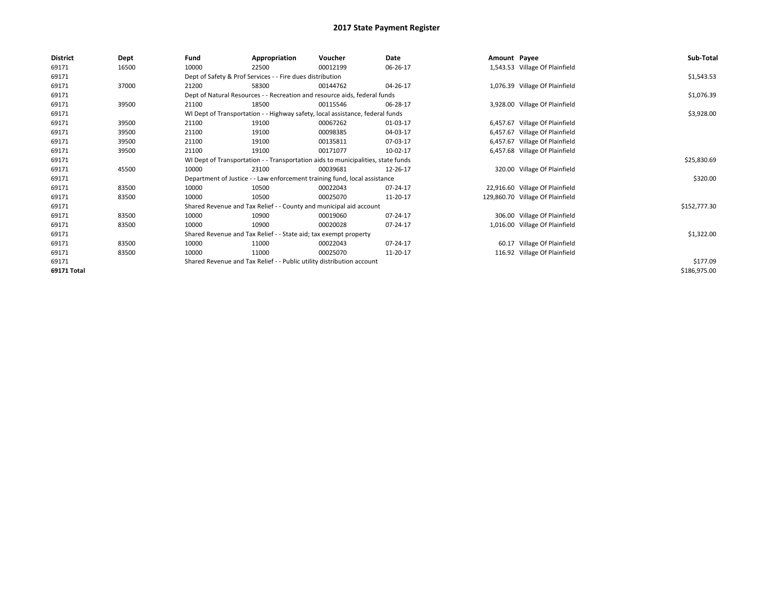| <b>District</b> | Dept  | Fund                                                      | Appropriation                                                                    | Voucher    | Date     | Amount Payee |                                  | Sub-Total    |
|-----------------|-------|-----------------------------------------------------------|----------------------------------------------------------------------------------|------------|----------|--------------|----------------------------------|--------------|
| 69171           | 16500 | 10000                                                     | 22500                                                                            | 00012199   | 06-26-17 |              | 1,543.53 Village Of Plainfield   |              |
| 69171           |       | Dept of Safety & Prof Services - - Fire dues distribution |                                                                                  | \$1,543.53 |          |              |                                  |              |
| 69171           | 37000 | 21200                                                     | 58300                                                                            | 00144762   | 04-26-17 |              | 1,076.39 Village Of Plainfield   |              |
| 69171           |       |                                                           | Dept of Natural Resources - - Recreation and resource aids, federal funds        |            |          |              |                                  | \$1,076.39   |
| 69171           | 39500 | 21100                                                     | 18500                                                                            | 00115546   | 06-28-17 |              | 3,928.00 Village Of Plainfield   |              |
| 69171           |       |                                                           | WI Dept of Transportation - - Highway safety, local assistance, federal funds    |            |          |              |                                  | \$3,928.00   |
| 69171           | 39500 | 21100                                                     | 19100                                                                            | 00067262   | 01-03-17 |              | 6,457.67 Village Of Plainfield   |              |
| 69171           | 39500 | 21100                                                     | 19100                                                                            | 00098385   | 04-03-17 |              | 6,457.67 Village Of Plainfield   |              |
| 69171           | 39500 | 21100                                                     | 19100                                                                            | 00135811   | 07-03-17 |              | 6,457.67 Village Of Plainfield   |              |
| 69171           | 39500 | 21100                                                     | 19100                                                                            | 00171077   | 10-02-17 |              | 6,457.68 Village Of Plainfield   |              |
| 69171           |       |                                                           | WI Dept of Transportation - - Transportation aids to municipalities, state funds |            |          |              |                                  | \$25,830.69  |
| 69171           | 45500 | 10000                                                     | 23100                                                                            | 00039681   | 12-26-17 |              | 320.00 Village Of Plainfield     |              |
| 69171           |       |                                                           | Department of Justice - - Law enforcement training fund, local assistance        |            |          |              |                                  | \$320.00     |
| 69171           | 83500 | 10000                                                     | 10500                                                                            | 00022043   | 07-24-17 |              | 22,916.60 Village Of Plainfield  |              |
| 69171           | 83500 | 10000                                                     | 10500                                                                            | 00025070   | 11-20-17 |              | 129,860.70 Village Of Plainfield |              |
| 69171           |       |                                                           | Shared Revenue and Tax Relief - - County and municipal aid account               |            |          |              |                                  | \$152,777.30 |
| 69171           | 83500 | 10000                                                     | 10900                                                                            | 00019060   | 07-24-17 |              | 306.00 Village Of Plainfield     |              |
| 69171           | 83500 | 10000                                                     | 10900                                                                            | 00020028   | 07-24-17 |              | 1,016.00 Village Of Plainfield   |              |
| 69171           |       |                                                           | Shared Revenue and Tax Relief - - State aid; tax exempt property                 |            |          |              |                                  | \$1,322.00   |
| 69171           | 83500 | 10000                                                     | 11000                                                                            | 00022043   | 07-24-17 |              | 60.17 Village Of Plainfield      |              |
| 69171           | 83500 | 10000                                                     | 11000                                                                            | 00025070   | 11-20-17 |              | 116.92 Village Of Plainfield     |              |
| 69171           |       |                                                           | Shared Revenue and Tax Relief - - Public utility distribution account            |            |          |              |                                  | \$177.09     |
| 69171 Total     |       |                                                           |                                                                                  |            |          |              |                                  | \$186,975.00 |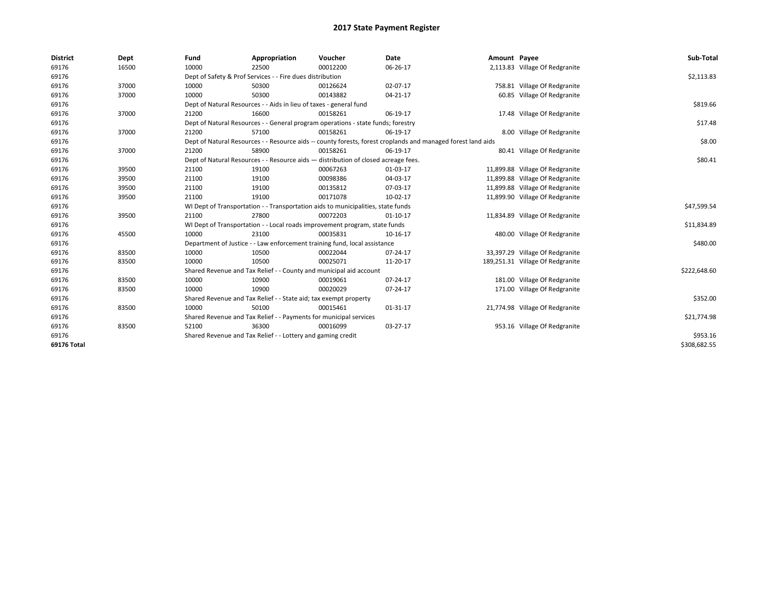| <b>District</b> | Dept  | Fund  | Appropriation                                                                                                | Voucher  | Date       | Amount Payee |                                  | Sub-Total    |  |  |  |
|-----------------|-------|-------|--------------------------------------------------------------------------------------------------------------|----------|------------|--------------|----------------------------------|--------------|--|--|--|
| 69176           | 16500 | 10000 | 22500                                                                                                        | 00012200 | 06-26-17   |              | 2,113.83 Village Of Redgranite   |              |  |  |  |
| 69176           |       |       | Dept of Safety & Prof Services - - Fire dues distribution                                                    |          |            |              |                                  |              |  |  |  |
| 69176           | 37000 | 10000 | 50300                                                                                                        | 00126624 | 02-07-17   |              | 758.81 Village Of Redgranite     |              |  |  |  |
| 69176           | 37000 | 10000 | 50300                                                                                                        | 00143882 | 04-21-17   |              | 60.85 Village Of Redgranite      |              |  |  |  |
| 69176           |       |       | Dept of Natural Resources - - Aids in lieu of taxes - general fund                                           |          |            |              |                                  | \$819.66     |  |  |  |
| 69176           | 37000 | 21200 | 16600                                                                                                        | 00158261 | 06-19-17   |              | 17.48 Village Of Redgranite      |              |  |  |  |
| 69176           |       |       | Dept of Natural Resources - - General program operations - state funds; forestry                             |          |            |              |                                  | \$17.48      |  |  |  |
| 69176           | 37000 | 21200 | 57100                                                                                                        | 00158261 | 06-19-17   |              | 8.00 Village Of Redgranite       |              |  |  |  |
| 69176           |       |       | Dept of Natural Resources - - Resource aids -- county forests, forest croplands and managed forest land aids |          |            |              |                                  | \$8.00       |  |  |  |
| 69176           | 37000 | 21200 | 58900                                                                                                        | 00158261 | 06-19-17   |              | 80.41 Village Of Redgranite      |              |  |  |  |
| 69176           |       |       | Dept of Natural Resources - - Resource aids - distribution of closed acreage fees.                           |          |            |              |                                  | \$80.41      |  |  |  |
| 69176           | 39500 | 21100 | 19100                                                                                                        | 00067263 | 01-03-17   |              | 11,899.88 Village Of Redgranite  |              |  |  |  |
| 69176           | 39500 | 21100 | 19100                                                                                                        | 00098386 | 04-03-17   |              | 11,899.88 Village Of Redgranite  |              |  |  |  |
| 69176           | 39500 | 21100 | 19100                                                                                                        | 00135812 | 07-03-17   |              | 11,899.88 Village Of Redgranite  |              |  |  |  |
| 69176           | 39500 | 21100 | 19100                                                                                                        | 00171078 | 10-02-17   |              | 11,899.90 Village Of Redgranite  |              |  |  |  |
| 69176           |       |       | WI Dept of Transportation - - Transportation aids to municipalities, state funds                             |          |            |              |                                  | \$47,599.54  |  |  |  |
| 69176           | 39500 | 21100 | 27800                                                                                                        | 00072203 | $01-10-17$ |              | 11,834.89 Village Of Redgranite  |              |  |  |  |
| 69176           |       |       | WI Dept of Transportation - - Local roads improvement program, state funds                                   |          |            |              |                                  | \$11,834.89  |  |  |  |
| 69176           | 45500 | 10000 | 23100                                                                                                        | 00035831 | 10-16-17   |              | 480.00 Village Of Redgranite     |              |  |  |  |
| 69176           |       |       | Department of Justice - - Law enforcement training fund, local assistance                                    |          |            |              |                                  | \$480.00     |  |  |  |
| 69176           | 83500 | 10000 | 10500                                                                                                        | 00022044 | 07-24-17   |              | 33,397.29 Village Of Redgranite  |              |  |  |  |
| 69176           | 83500 | 10000 | 10500                                                                                                        | 00025071 | 11-20-17   |              | 189,251.31 Village Of Redgranite |              |  |  |  |
| 69176           |       |       | Shared Revenue and Tax Relief - - County and municipal aid account                                           |          |            |              |                                  | \$222,648.60 |  |  |  |
| 69176           | 83500 | 10000 | 10900                                                                                                        | 00019061 | 07-24-17   |              | 181.00 Village Of Redgranite     |              |  |  |  |
| 69176           | 83500 | 10000 | 10900                                                                                                        | 00020029 | 07-24-17   |              | 171.00 Village Of Redgranite     |              |  |  |  |
| 69176           |       |       | Shared Revenue and Tax Relief - - State aid; tax exempt property                                             |          |            |              |                                  | \$352.00     |  |  |  |
| 69176           | 83500 | 10000 | 50100                                                                                                        | 00015461 | 01-31-17   |              | 21,774.98 Village Of Redgranite  |              |  |  |  |
| 69176           |       |       | Shared Revenue and Tax Relief - - Payments for municipal services                                            |          |            |              |                                  | \$21,774.98  |  |  |  |
| 69176           | 83500 | 52100 | 36300                                                                                                        | 00016099 | 03-27-17   |              | 953.16 Village Of Redgranite     |              |  |  |  |
| 69176           |       |       | Shared Revenue and Tax Relief - - Lottery and gaming credit                                                  |          |            |              |                                  | \$953.16     |  |  |  |
| 69176 Total     |       |       |                                                                                                              |          |            |              |                                  | \$308,682.55 |  |  |  |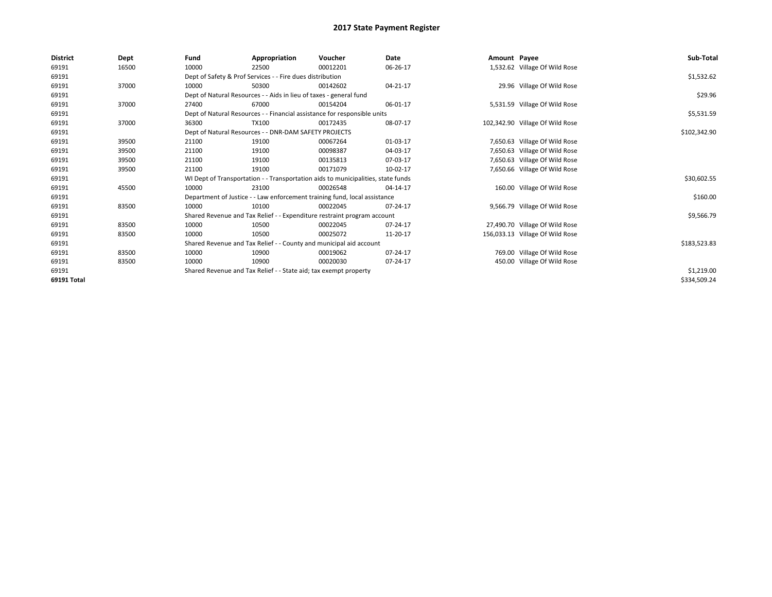| District    | Dept  | Fund                                                      | Appropriation                                                      | Voucher                                                                          | Date     | Amount Payee |                                 | Sub-Total    |
|-------------|-------|-----------------------------------------------------------|--------------------------------------------------------------------|----------------------------------------------------------------------------------|----------|--------------|---------------------------------|--------------|
| 69191       | 16500 | 10000                                                     | 22500                                                              | 00012201                                                                         | 06-26-17 |              | 1,532.62 Village Of Wild Rose   |              |
| 69191       |       | Dept of Safety & Prof Services - - Fire dues distribution |                                                                    | \$1,532.62                                                                       |          |              |                                 |              |
| 69191       | 37000 | 10000                                                     | 50300                                                              | 00142602                                                                         | 04-21-17 |              | 29.96 Village Of Wild Rose      |              |
| 69191       |       |                                                           | Dept of Natural Resources - - Aids in lieu of taxes - general fund |                                                                                  |          |              |                                 | \$29.96      |
| 69191       | 37000 | 27400                                                     | 67000                                                              | 00154204                                                                         | 06-01-17 |              | 5,531.59 Village Of Wild Rose   |              |
| 69191       |       |                                                           |                                                                    | Dept of Natural Resources - - Financial assistance for responsible units         |          |              |                                 | \$5,531.59   |
| 69191       | 37000 | 36300                                                     | TX100                                                              | 00172435                                                                         | 08-07-17 |              | 102,342.90 Village Of Wild Rose |              |
| 69191       |       |                                                           | Dept of Natural Resources - - DNR-DAM SAFETY PROJECTS              |                                                                                  |          |              |                                 | \$102,342.90 |
| 69191       | 39500 | 21100                                                     | 19100                                                              | 00067264                                                                         | 01-03-17 |              | 7,650.63 Village Of Wild Rose   |              |
| 69191       | 39500 | 21100                                                     | 19100                                                              | 00098387                                                                         | 04-03-17 |              | 7,650.63 Village Of Wild Rose   |              |
| 69191       | 39500 | 21100                                                     | 19100                                                              | 00135813                                                                         | 07-03-17 |              | 7,650.63 Village Of Wild Rose   |              |
| 69191       | 39500 | 21100                                                     | 19100                                                              | 00171079                                                                         | 10-02-17 |              | 7,650.66 Village Of Wild Rose   |              |
| 69191       |       |                                                           |                                                                    | WI Dept of Transportation - - Transportation aids to municipalities, state funds |          |              |                                 | \$30,602.55  |
| 69191       | 45500 | 10000                                                     | 23100                                                              | 00026548                                                                         | 04-14-17 |              | 160.00 Village Of Wild Rose     |              |
| 69191       |       |                                                           |                                                                    | Department of Justice - - Law enforcement training fund, local assistance        |          |              |                                 | \$160.00     |
| 69191       | 83500 | 10000                                                     | 10100                                                              | 00022045                                                                         | 07-24-17 |              | 9,566.79 Village Of Wild Rose   |              |
| 69191       |       |                                                           |                                                                    | Shared Revenue and Tax Relief - - Expenditure restraint program account          |          |              |                                 | \$9,566.79   |
| 69191       | 83500 | 10000                                                     | 10500                                                              | 00022045                                                                         | 07-24-17 |              | 27,490.70 Village Of Wild Rose  |              |
| 69191       | 83500 | 10000                                                     | 10500                                                              | 00025072                                                                         | 11-20-17 |              | 156,033.13 Village Of Wild Rose |              |
| 69191       |       |                                                           |                                                                    | Shared Revenue and Tax Relief - - County and municipal aid account               |          |              |                                 | \$183,523.83 |
| 69191       | 83500 | 10000                                                     | 10900                                                              | 00019062                                                                         | 07-24-17 |              | 769.00 Village Of Wild Rose     |              |
| 69191       | 83500 | 10000                                                     | 10900                                                              | 00020030                                                                         | 07-24-17 |              | 450.00 Village Of Wild Rose     |              |
| 69191       |       |                                                           | Shared Revenue and Tax Relief - - State aid; tax exempt property   |                                                                                  |          |              |                                 | \$1,219.00   |
| 69191 Total |       |                                                           |                                                                    |                                                                                  |          |              |                                 | \$334,509.24 |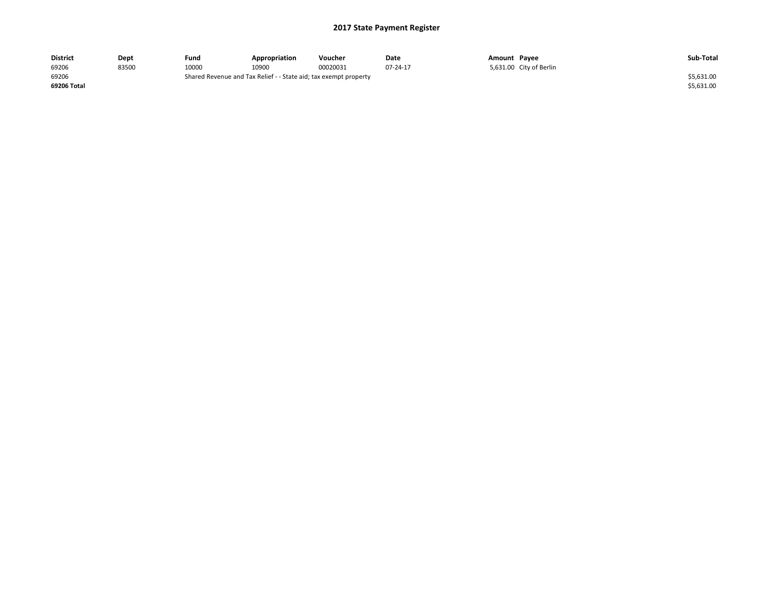| <b>District</b> | Dept  | Fund  | Appropriation                                                    | Voucher  | Date     | Amount Payee |                         | Sub-Total  |
|-----------------|-------|-------|------------------------------------------------------------------|----------|----------|--------------|-------------------------|------------|
| 69206           | 83500 | 10000 | 10900                                                            | 00020031 | 07-24-17 |              | 5,631.00 City of Berlin |            |
| 69206           |       |       | Shared Revenue and Tax Relief - - State aid; tax exempt property |          |          |              |                         | \$5,631.00 |
| 69206 Total     |       |       |                                                                  |          |          |              |                         | \$5,631.00 |
|                 |       |       |                                                                  |          |          |              |                         |            |